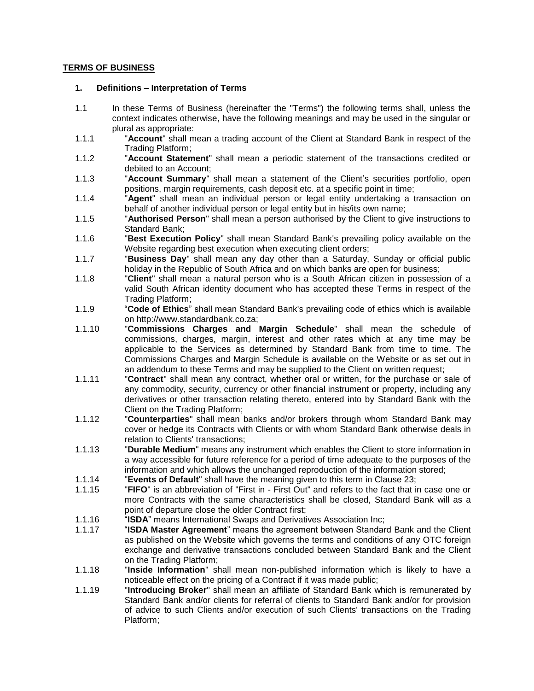## **TERMS OF BUSINESS**

#### **1. Definitions – Interpretation of Terms**

- 1.1 In these Terms of Business (hereinafter the "Terms") the following terms shall, unless the context indicates otherwise, have the following meanings and may be used in the singular or plural as appropriate:
- 1.1.1 "**Account**" shall mean a trading account of the Client at Standard Bank in respect of the Trading Platform;
- 1.1.2 "**Account Statement**" shall mean a periodic statement of the transactions credited or debited to an Account;
- 1.1.3 "**Account Summary**" shall mean a statement of the Client's securities portfolio, open positions, margin requirements, cash deposit etc. at a specific point in time;
- 1.1.4 "**Agent**" shall mean an individual person or legal entity undertaking a transaction on behalf of another individual person or legal entity but in his/its own name;
- 1.1.5 "**Authorised Person**" shall mean a person authorised by the Client to give instructions to Standard Bank;
- 1.1.6 "**Best Execution Policy**" shall mean Standard Bank's prevailing policy available on the Website regarding best execution when executing client orders;
- 1.1.7 "**Business Day**" shall mean any day other than a Saturday, Sunday or official public holiday in the Republic of South Africa and on which banks are open for business;
- 1.1.8 "**Client**" shall mean a natural person who is a South African citizen in possession of a valid South African identity document who has accepted these Terms in respect of the Trading Platform;
- 1.1.9 "**Code of Ethics**" shall mean Standard Bank's prevailing code of ethics which is available on http://www.standardbank.co.za;
- 1.1.10 "**Commissions Charges and Margin Schedule**" shall mean the schedule of commissions, charges, margin, interest and other rates which at any time may be applicable to the Services as determined by Standard Bank from time to time. The Commissions Charges and Margin Schedule is available on the Website or as set out in an addendum to these Terms and may be supplied to the Client on written request;
- 1.1.11 "**Contract**" shall mean any contract, whether oral or written, for the purchase or sale of any commodity, security, currency or other financial instrument or property, including any derivatives or other transaction relating thereto, entered into by Standard Bank with the Client on the Trading Platform;
- 1.1.12 "**Counterparties**" shall mean banks and/or brokers through whom Standard Bank may cover or hedge its Contracts with Clients or with whom Standard Bank otherwise deals in relation to Clients' transactions;
- 1.1.13 "**Durable Medium**" means any instrument which enables the Client to store information in a way accessible for future reference for a period of time adequate to the purposes of the information and which allows the unchanged reproduction of the information stored;
- 1.1.14 "**Events of Default**" shall have the meaning given to this term in Clause [23;](#page-17-0)
- "FIFO" is an abbreviation of "First in First Out" and refers to the fact that in case one or more Contracts with the same characteristics shall be closed, Standard Bank will as a point of departure close the older Contract first;
- 1.1.16 "**ISDA**" means International Swaps and Derivatives Association Inc;
- 1.1.17 "**ISDA Master Agreement**" means the agreement between Standard Bank and the Client as published on the Website which governs the terms and conditions of any OTC foreign exchange and derivative transactions concluded between Standard Bank and the Client on the Trading Platform;
- 1.1.18 "**Inside Information**" shall mean non-published information which is likely to have a noticeable effect on the pricing of a Contract if it was made public;
- 1.1.19 "**Introducing Broker**" shall mean an affiliate of Standard Bank which is remunerated by Standard Bank and/or clients for referral of clients to Standard Bank and/or for provision of advice to such Clients and/or execution of such Clients' transactions on the Trading Platform;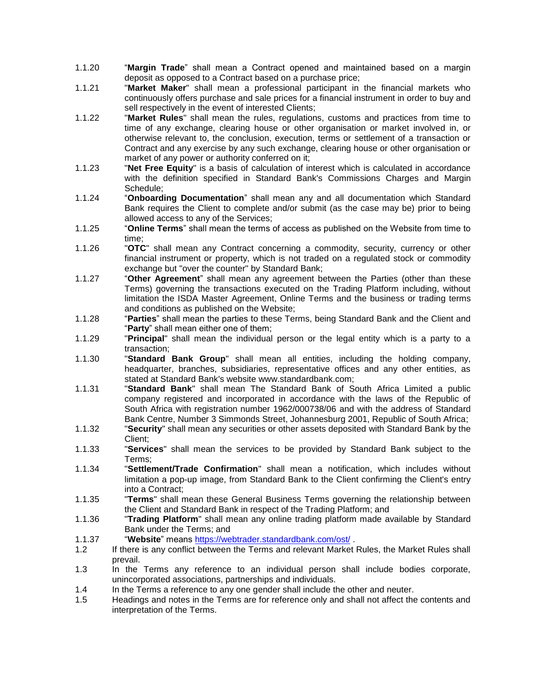- 1.1.20 "**Margin Trade**" shall mean a Contract opened and maintained based on a margin deposit as opposed to a Contract based on a purchase price;
- 1.1.21 "**Market Maker**" shall mean a professional participant in the financial markets who continuously offers purchase and sale prices for a financial instrument in order to buy and sell respectively in the event of interested Clients;
- 1.1.22 "**Market Rules**" shall mean the rules, regulations, customs and practices from time to time of any exchange, clearing house or other organisation or market involved in, or otherwise relevant to, the conclusion, execution, terms or settlement of a transaction or Contract and any exercise by any such exchange, clearing house or other organisation or market of any power or authority conferred on it;
- 1.1.23 "**Net Free Equity**" is a basis of calculation of interest which is calculated in accordance with the definition specified in Standard Bank's Commissions Charges and Margin Schedule;
- 1.1.24 "**Onboarding Documentation**" shall mean any and all documentation which Standard Bank requires the Client to complete and/or submit (as the case may be) prior to being allowed access to any of the Services;
- 1.1.25 "**Online Terms**" shall mean the terms of access as published on the Website from time to time;
- 1.1.26 "**OTC**" shall mean any Contract concerning a commodity, security, currency or other financial instrument or property, which is not traded on a regulated stock or commodity exchange but "over the counter" by Standard Bank;
- 1.1.27 "**Other Agreement**" shall mean any agreement between the Parties (other than these Terms) governing the transactions executed on the Trading Platform including, without limitation the ISDA Master Agreement, Online Terms and the business or trading terms and conditions as published on the Website;
- 1.1.28 "**Parties**" shall mean the parties to these Terms, being Standard Bank and the Client and "**Party**" shall mean either one of them;
- 1.1.29 "**Principal**" shall mean the individual person or the legal entity which is a party to a transaction;
- 1.1.30 "**Standard Bank Group**" shall mean all entities, including the holding company, headquarter, branches, subsidiaries, representative offices and any other entities, as stated at Standard Bank's website www.standardbank.com;
- 1.1.31 "**Standard Bank**" shall mean The Standard Bank of South Africa Limited a public company registered and incorporated in accordance with the laws of the Republic of South Africa with registration number 1962/000738/06 and with the address of Standard Bank Centre, Number 3 Simmonds Street, Johannesburg 2001, Republic of South Africa;
- 1.1.32 "**Security**" shall mean any securities or other assets deposited with Standard Bank by the Client;
- 1.1.33 "**Services**" shall mean the services to be provided by Standard Bank subject to the Terms;
- 1.1.34 "**Settlement/Trade Confirmation**" shall mean a notification, which includes without limitation a pop-up image, from Standard Bank to the Client confirming the Client's entry into a Contract;
- 1.1.35 "**Terms**" shall mean these General Business Terms governing the relationship between the Client and Standard Bank in respect of the Trading Platform; and
- 1.1.36 "**Trading Platform**" shall mean any online trading platform made available by Standard Bank under the Terms; and
- 1.1.37 "**Website**" means<https://webtrader.standardbank.com/ost/> .
- 1.2 If there is any conflict between the Terms and relevant Market Rules, the Market Rules shall prevail.
- 1.3 In the Terms any reference to an individual person shall include bodies corporate, unincorporated associations, partnerships and individuals.
- 1.4 In the Terms a reference to any one gender shall include the other and neuter.
- 1.5 Headings and notes in the Terms are for reference only and shall not affect the contents and interpretation of the Terms.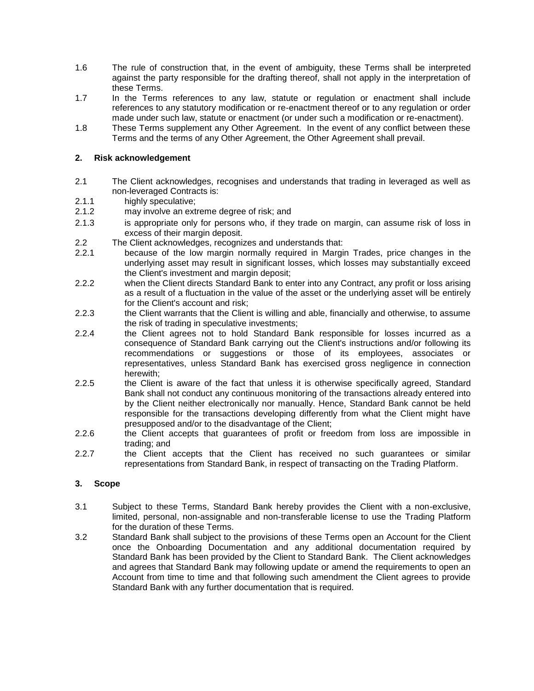- 1.6 The rule of construction that, in the event of ambiguity, these Terms shall be interpreted against the party responsible for the drafting thereof, shall not apply in the interpretation of these Terms.
- 1.7 In the Terms references to any law, statute or regulation or enactment shall include references to any statutory modification or re-enactment thereof or to any regulation or order made under such law, statute or enactment (or under such a modification or re-enactment).
- 1.8 These Terms supplement any Other Agreement. In the event of any conflict between these Terms and the terms of any Other Agreement, the Other Agreement shall prevail.

## **2. Risk acknowledgement**

- 2.1 The Client acknowledges, recognises and understands that trading in leveraged as well as non-leveraged Contracts is:
- 2.1.1 highly speculative;
- 2.1.2 may involve an extreme degree of risk; and
- 2.1.3 is appropriate only for persons who, if they trade on margin, can assume risk of loss in excess of their margin deposit.
- 2.2 The Client acknowledges, recognizes and understands that:
- 2.2.1 because of the low margin normally required in Margin Trades, price changes in the underlying asset may result in significant losses, which losses may substantially exceed the Client's investment and margin deposit;
- 2.2.2 when the Client directs Standard Bank to enter into any Contract, any profit or loss arising as a result of a fluctuation in the value of the asset or the underlying asset will be entirely for the Client's account and risk;
- 2.2.3 the Client warrants that the Client is willing and able, financially and otherwise, to assume the risk of trading in speculative investments;
- 2.2.4 the Client agrees not to hold Standard Bank responsible for losses incurred as a consequence of Standard Bank carrying out the Client's instructions and/or following its recommendations or suggestions or those of its employees, associates or representatives, unless Standard Bank has exercised gross negligence in connection herewith;
- 2.2.5 the Client is aware of the fact that unless it is otherwise specifically agreed, Standard Bank shall not conduct any continuous monitoring of the transactions already entered into by the Client neither electronically nor manually. Hence, Standard Bank cannot be held responsible for the transactions developing differently from what the Client might have presupposed and/or to the disadvantage of the Client;
- 2.2.6 the Client accepts that guarantees of profit or freedom from loss are impossible in trading; and
- 2.2.7 the Client accepts that the Client has received no such guarantees or similar representations from Standard Bank, in respect of transacting on the Trading Platform.

## **3. Scope**

- 3.1 Subject to these Terms, Standard Bank hereby provides the Client with a non-exclusive, limited, personal, non-assignable and non-transferable license to use the Trading Platform for the duration of these Terms.
- 3.2 Standard Bank shall subject to the provisions of these Terms open an Account for the Client once the Onboarding Documentation and any additional documentation required by Standard Bank has been provided by the Client to Standard Bank. The Client acknowledges and agrees that Standard Bank may following update or amend the requirements to open an Account from time to time and that following such amendment the Client agrees to provide Standard Bank with any further documentation that is required.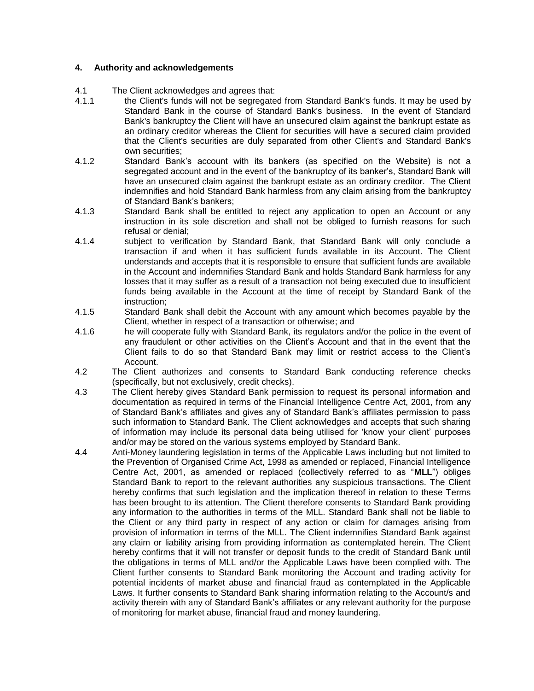## **4. Authority and acknowledgements**

- 4.1 The Client acknowledges and agrees that:<br>4.1.1 the Client's funds will not be segregate
- the Client's funds will not be segregated from Standard Bank's funds. It may be used by Standard Bank in the course of Standard Bank's business. In the event of Standard Bank's bankruptcy the Client will have an unsecured claim against the bankrupt estate as an ordinary creditor whereas the Client for securities will have a secured claim provided that the Client's securities are duly separated from other Client's and Standard Bank's own securities;
- 4.1.2 Standard Bank's account with its bankers (as specified on the Website) is not a segregated account and in the event of the bankruptcy of its banker's, Standard Bank will have an unsecured claim against the bankrupt estate as an ordinary creditor. The Client indemnifies and hold Standard Bank harmless from any claim arising from the bankruptcy of Standard Bank's bankers;
- 4.1.3 Standard Bank shall be entitled to reject any application to open an Account or any instruction in its sole discretion and shall not be obliged to furnish reasons for such refusal or denial;
- 4.1.4 subject to verification by Standard Bank, that Standard Bank will only conclude a transaction if and when it has sufficient funds available in its Account. The Client understands and accepts that it is responsible to ensure that sufficient funds are available in the Account and indemnifies Standard Bank and holds Standard Bank harmless for any losses that it may suffer as a result of a transaction not being executed due to insufficient funds being available in the Account at the time of receipt by Standard Bank of the instruction;
- 4.1.5 Standard Bank shall debit the Account with any amount which becomes payable by the Client, whether in respect of a transaction or otherwise; and
- 4.1.6 he will cooperate fully with Standard Bank, its regulators and/or the police in the event of any fraudulent or other activities on the Client's Account and that in the event that the Client fails to do so that Standard Bank may limit or restrict access to the Client's Account.
- 4.2 The Client authorizes and consents to Standard Bank conducting reference checks (specifically, but not exclusively, credit checks).
- 4.3 The Client hereby gives Standard Bank permission to request its personal information and documentation as required in terms of the Financial Intelligence Centre Act, 2001, from any of Standard Bank's affiliates and gives any of Standard Bank's affiliates permission to pass such information to Standard Bank. The Client acknowledges and accepts that such sharing of information may include its personal data being utilised for 'know your client' purposes and/or may be stored on the various systems employed by Standard Bank.
- 4.4 Anti-Money laundering legislation in terms of the Applicable Laws including but not limited to the Prevention of Organised Crime Act, 1998 as amended or replaced, Financial Intelligence Centre Act, 2001, as amended or replaced (collectively referred to as "**MLL**") obliges Standard Bank to report to the relevant authorities any suspicious transactions. The Client hereby confirms that such legislation and the implication thereof in relation to these Terms has been brought to its attention. The Client therefore consents to Standard Bank providing any information to the authorities in terms of the MLL. Standard Bank shall not be liable to the Client or any third party in respect of any action or claim for damages arising from provision of information in terms of the MLL. The Client indemnifies Standard Bank against any claim or liability arising from providing information as contemplated herein. The Client hereby confirms that it will not transfer or deposit funds to the credit of Standard Bank until the obligations in terms of MLL and/or the Applicable Laws have been complied with. The Client further consents to Standard Bank monitoring the Account and trading activity for potential incidents of market abuse and financial fraud as contemplated in the Applicable Laws. It further consents to Standard Bank sharing information relating to the Account/s and activity therein with any of Standard Bank's affiliates or any relevant authority for the purpose of monitoring for market abuse, financial fraud and money laundering.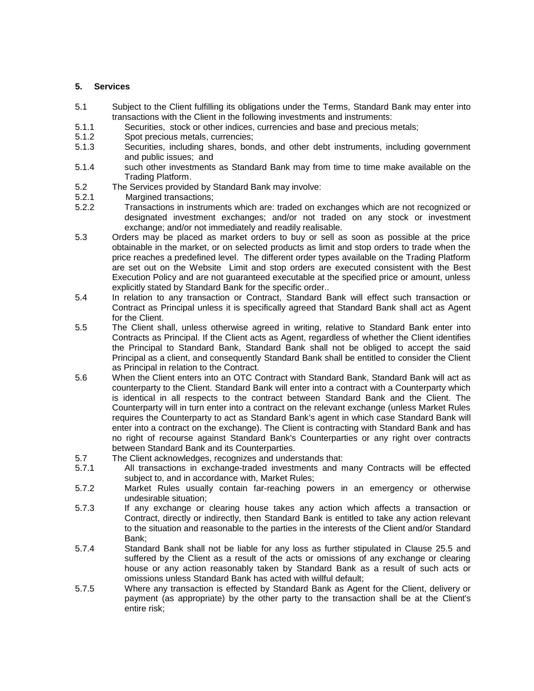#### **5. Services**

- 5.1 Subject to the Client fulfilling its obligations under the Terms, Standard Bank may enter into transactions with the Client in the following investments and instruments:
- 5.1.1 Securities, stock or other indices, currencies and base and precious metals;
- 5.1.2 Spot precious metals, currencies;
- 5.1.3 Securities, including shares, bonds, and other debt instruments, including government and public issues; and
- 5.1.4 such other investments as Standard Bank may from time to time make available on the Trading Platform.
- 5.2 The Services provided by Standard Bank may involve:<br>5.2.1 Margined transactions:
- Margined transactions;
- 5.2.2 Transactions in instruments which are: traded on exchanges which are not recognized or designated investment exchanges; and/or not traded on any stock or investment exchange; and/or not immediately and readily realisable.
- 5.3 Orders may be placed as market orders to buy or sell as soon as possible at the price obtainable in the market, or on selected products as limit and stop orders to trade when the price reaches a predefined level. The different order types available on the Trading Platform are set out on the Website Limit and stop orders are executed consistent with the Best Execution Policy and are not guaranteed executable at the specified price or amount, unless explicitly stated by Standard Bank for the specific order..
- 5.4 In relation to any transaction or Contract, Standard Bank will effect such transaction or Contract as Principal unless it is specifically agreed that Standard Bank shall act as Agent for the Client.
- 5.5 The Client shall, unless otherwise agreed in writing, relative to Standard Bank enter into Contracts as Principal. If the Client acts as Agent, regardless of whether the Client identifies the Principal to Standard Bank, Standard Bank shall not be obliged to accept the said Principal as a client, and consequently Standard Bank shall be entitled to consider the Client as Principal in relation to the Contract.
- 5.6 When the Client enters into an OTC Contract with Standard Bank, Standard Bank will act as counterparty to the Client. Standard Bank will enter into a contract with a Counterparty which is identical in all respects to the contract between Standard Bank and the Client. The Counterparty will in turn enter into a contract on the relevant exchange (unless Market Rules requires the Counterparty to act as Standard Bank's agent in which case Standard Bank will enter into a contract on the exchange). The Client is contracting with Standard Bank and has no right of recourse against Standard Bank's Counterparties or any right over contracts between Standard Bank and its Counterparties.
- 5.7 The Client acknowledges, recognizes and understands that:
- 5.7.1 All transactions in exchange-traded investments and many Contracts will be effected subject to, and in accordance with, Market Rules;
- 5.7.2 Market Rules usually contain far-reaching powers in an emergency or otherwise undesirable situation;
- 5.7.3 If any exchange or clearing house takes any action which affects a transaction or Contract, directly or indirectly, then Standard Bank is entitled to take any action relevant to the situation and reasonable to the parties in the interests of the Client and/or Standard Bank;
- 5.7.4 Standard Bank shall not be liable for any loss as further stipulated in Clause [25.5](#page-19-0) and suffered by the Client as a result of the acts or omissions of any exchange or clearing house or any action reasonably taken by Standard Bank as a result of such acts or omissions unless Standard Bank has acted with willful default;
- 5.7.5 Where any transaction is effected by Standard Bank as Agent for the Client, delivery or payment (as appropriate) by the other party to the transaction shall be at the Client's entire risk;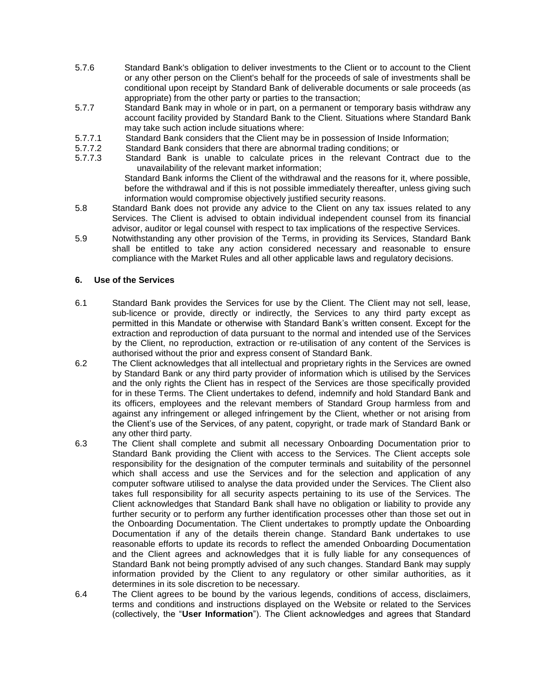- 5.7.6 Standard Bank's obligation to deliver investments to the Client or to account to the Client or any other person on the Client's behalf for the proceeds of sale of investments shall be conditional upon receipt by Standard Bank of deliverable documents or sale proceeds (as appropriate) from the other party or parties to the transaction;
- 5.7.7 Standard Bank may in whole or in part, on a permanent or temporary basis withdraw any account facility provided by Standard Bank to the Client. Situations where Standard Bank may take such action include situations where:
- 5.7.7.1 Standard Bank considers that the Client may be in possession of Inside Information;
- 5.7.7.2 Standard Bank considers that there are abnormal trading conditions; or<br>5.7.7.3 Standard Bank is unable to calculate prices in the relevant Cor
- Standard Bank is unable to calculate prices in the relevant Contract due to the unavailability of the relevant market information;

Standard Bank informs the Client of the withdrawal and the reasons for it, where possible, before the withdrawal and if this is not possible immediately thereafter, unless giving such information would compromise objectively justified security reasons.

- 5.8 Standard Bank does not provide any advice to the Client on any tax issues related to any Services. The Client is advised to obtain individual independent counsel from its financial advisor, auditor or legal counsel with respect to tax implications of the respective Services.
- 5.9 Notwithstanding any other provision of the Terms, in providing its Services, Standard Bank shall be entitled to take any action considered necessary and reasonable to ensure compliance with the Market Rules and all other applicable laws and regulatory decisions.

## **6. Use of the Services**

- 6.1 Standard Bank provides the Services for use by the Client. The Client may not sell, lease, sub-licence or provide, directly or indirectly, the Services to any third party except as permitted in this Mandate or otherwise with Standard Bank's written consent. Except for the extraction and reproduction of data pursuant to the normal and intended use of the Services by the Client, no reproduction, extraction or re-utilisation of any content of the Services is authorised without the prior and express consent of Standard Bank.
- 6.2 The Client acknowledges that all intellectual and proprietary rights in the Services are owned by Standard Bank or any third party provider of information which is utilised by the Services and the only rights the Client has in respect of the Services are those specifically provided for in these Terms. The Client undertakes to defend, indemnify and hold Standard Bank and its officers, employees and the relevant members of Standard Group harmless from and against any infringement or alleged infringement by the Client, whether or not arising from the Client's use of the Services, of any patent, copyright, or trade mark of Standard Bank or any other third party.
- 6.3 The Client shall complete and submit all necessary Onboarding Documentation prior to Standard Bank providing the Client with access to the Services. The Client accepts sole responsibility for the designation of the computer terminals and suitability of the personnel which shall access and use the Services and for the selection and application of any computer software utilised to analyse the data provided under the Services. The Client also takes full responsibility for all security aspects pertaining to its use of the Services. The Client acknowledges that Standard Bank shall have no obligation or liability to provide any further security or to perform any further identification processes other than those set out in the Onboarding Documentation. The Client undertakes to promptly update the Onboarding Documentation if any of the details therein change. Standard Bank undertakes to use reasonable efforts to update its records to reflect the amended Onboarding Documentation and the Client agrees and acknowledges that it is fully liable for any consequences of Standard Bank not being promptly advised of any such changes. Standard Bank may supply information provided by the Client to any regulatory or other similar authorities, as it determines in its sole discretion to be necessary.
- 6.4 The Client agrees to be bound by the various legends, conditions of access, disclaimers, terms and conditions and instructions displayed on the Website or related to the Services (collectively, the "**User Information**"). The Client acknowledges and agrees that Standard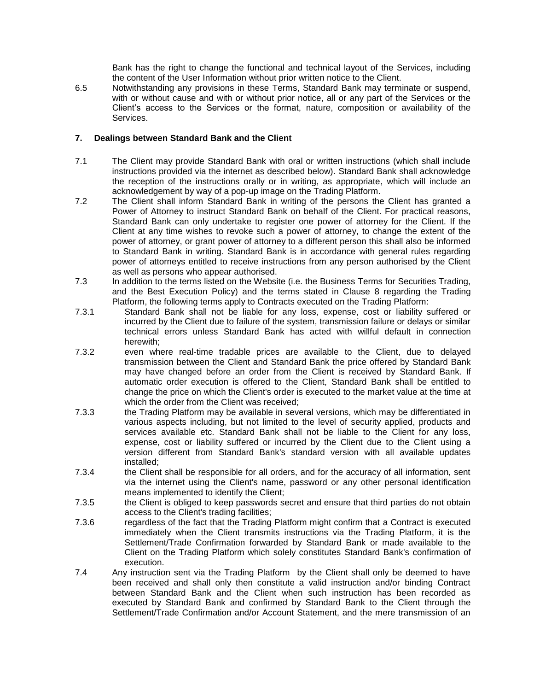Bank has the right to change the functional and technical layout of the Services, including the content of the User Information without prior written notice to the Client.

6.5 Notwithstanding any provisions in these Terms, Standard Bank may terminate or suspend, with or without cause and with or without prior notice, all or any part of the Services or the Client's access to the Services or the format, nature, composition or availability of the Services.

## **7. Dealings between Standard Bank and the Client**

- 7.1 The Client may provide Standard Bank with oral or written instructions (which shall include instructions provided via the internet as described below). Standard Bank shall acknowledge the reception of the instructions orally or in writing, as appropriate, which will include an acknowledgement by way of a pop-up image on the Trading Platform.
- 7.2 The Client shall inform Standard Bank in writing of the persons the Client has granted a Power of Attorney to instruct Standard Bank on behalf of the Client. For practical reasons, Standard Bank can only undertake to register one power of attorney for the Client. If the Client at any time wishes to revoke such a power of attorney, to change the extent of the power of attorney, or grant power of attorney to a different person this shall also be informed to Standard Bank in writing. Standard Bank is in accordance with general rules regarding power of attorneys entitled to receive instructions from any person authorised by the Client as well as persons who appear authorised.
- 7.3 In addition to the terms listed on the Website (i.e. the Business Terms for Securities Trading, and the Best Execution Policy) and the terms stated in Clause [8](#page-8-0) regarding the Trading Platform, the following terms apply to Contracts executed on the Trading Platform:
- 7.3.1 Standard Bank shall not be liable for any loss, expense, cost or liability suffered or incurred by the Client due to failure of the system, transmission failure or delays or similar technical errors unless Standard Bank has acted with willful default in connection herewith;
- 7.3.2 even where real-time tradable prices are available to the Client, due to delayed transmission between the Client and Standard Bank the price offered by Standard Bank may have changed before an order from the Client is received by Standard Bank. If automatic order execution is offered to the Client, Standard Bank shall be entitled to change the price on which the Client's order is executed to the market value at the time at which the order from the Client was received;
- 7.3.3 the Trading Platform may be available in several versions, which may be differentiated in various aspects including, but not limited to the level of security applied, products and services available etc. Standard Bank shall not be liable to the Client for any loss, expense, cost or liability suffered or incurred by the Client due to the Client using a version different from Standard Bank's standard version with all available updates installed;
- 7.3.4 the Client shall be responsible for all orders, and for the accuracy of all information, sent via the internet using the Client's name, password or any other personal identification means implemented to identify the Client;
- 7.3.5 the Client is obliged to keep passwords secret and ensure that third parties do not obtain access to the Client's trading facilities;
- 7.3.6 regardless of the fact that the Trading Platform might confirm that a Contract is executed immediately when the Client transmits instructions via the Trading Platform, it is the Settlement/Trade Confirmation forwarded by Standard Bank or made available to the Client on the Trading Platform which solely constitutes Standard Bank's confirmation of execution.
- 7.4 Any instruction sent via the Trading Platform by the Client shall only be deemed to have been received and shall only then constitute a valid instruction and/or binding Contract between Standard Bank and the Client when such instruction has been recorded as executed by Standard Bank and confirmed by Standard Bank to the Client through the Settlement/Trade Confirmation and/or Account Statement, and the mere transmission of an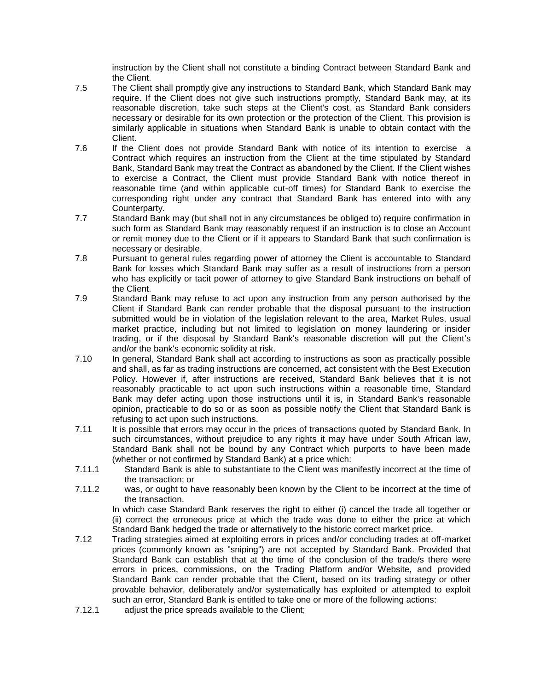instruction by the Client shall not constitute a binding Contract between Standard Bank and the Client.

- 7.5 The Client shall promptly give any instructions to Standard Bank, which Standard Bank may require. If the Client does not give such instructions promptly, Standard Bank may, at its reasonable discretion, take such steps at the Client's cost, as Standard Bank considers necessary or desirable for its own protection or the protection of the Client. This provision is similarly applicable in situations when Standard Bank is unable to obtain contact with the Client.
- 7.6 If the Client does not provide Standard Bank with notice of its intention to exercise a Contract which requires an instruction from the Client at the time stipulated by Standard Bank, Standard Bank may treat the Contract as abandoned by the Client. If the Client wishes to exercise a Contract, the Client must provide Standard Bank with notice thereof in reasonable time (and within applicable cut-off times) for Standard Bank to exercise the corresponding right under any contract that Standard Bank has entered into with any Counterparty.
- 7.7 Standard Bank may (but shall not in any circumstances be obliged to) require confirmation in such form as Standard Bank may reasonably request if an instruction is to close an Account or remit money due to the Client or if it appears to Standard Bank that such confirmation is necessary or desirable.
- 7.8 Pursuant to general rules regarding power of attorney the Client is accountable to Standard Bank for losses which Standard Bank may suffer as a result of instructions from a person who has explicitly or tacit power of attorney to give Standard Bank instructions on behalf of the Client.
- 7.9 Standard Bank may refuse to act upon any instruction from any person authorised by the Client if Standard Bank can render probable that the disposal pursuant to the instruction submitted would be in violation of the legislation relevant to the area, Market Rules, usual market practice, including but not limited to legislation on money laundering or insider trading, or if the disposal by Standard Bank's reasonable discretion will put the Client's and/or the bank's economic solidity at risk.
- 7.10 In general, Standard Bank shall act according to instructions as soon as practically possible and shall, as far as trading instructions are concerned, act consistent with the Best Execution Policy. However if, after instructions are received, Standard Bank believes that it is not reasonably practicable to act upon such instructions within a reasonable time, Standard Bank may defer acting upon those instructions until it is, in Standard Bank's reasonable opinion, practicable to do so or as soon as possible notify the Client that Standard Bank is refusing to act upon such instructions.
- 7.11 It is possible that errors may occur in the prices of transactions quoted by Standard Bank. In such circumstances, without prejudice to any rights it may have under South African law, Standard Bank shall not be bound by any Contract which purports to have been made (whether or not confirmed by Standard Bank) at a price which:
- 7.11.1 Standard Bank is able to substantiate to the Client was manifestly incorrect at the time of the transaction; or
- 7.11.2 was, or ought to have reasonably been known by the Client to be incorrect at the time of the transaction.

In which case Standard Bank reserves the right to either (i) cancel the trade all together or (ii) correct the erroneous price at which the trade was done to either the price at which Standard Bank hedged the trade or alternatively to the historic correct market price.

- 7.12 Trading strategies aimed at exploiting errors in prices and/or concluding trades at off-market prices (commonly known as "sniping") are not accepted by Standard Bank. Provided that Standard Bank can establish that at the time of the conclusion of the trade/s there were errors in prices, commissions, on the Trading Platform and/or Website, and provided Standard Bank can render probable that the Client, based on its trading strategy or other provable behavior, deliberately and/or systematically has exploited or attempted to exploit such an error, Standard Bank is entitled to take one or more of the following actions:
- 7.12.1 adjust the price spreads available to the Client;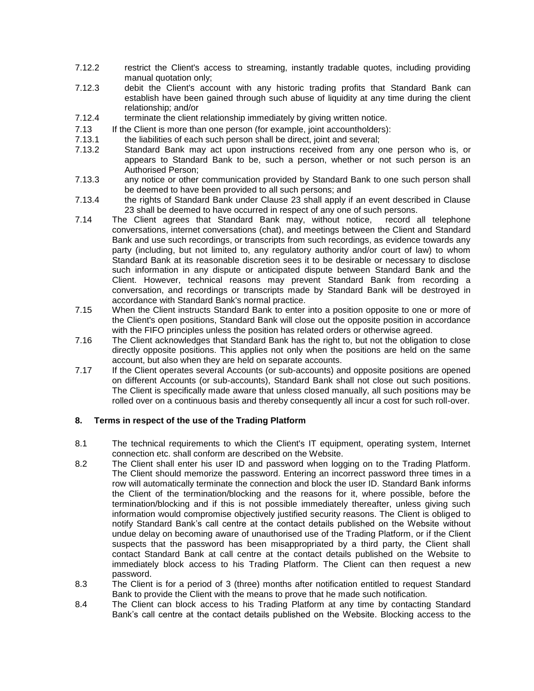- 7.12.2 restrict the Client's access to streaming, instantly tradable quotes, including providing manual quotation only;
- 7.12.3 debit the Client's account with any historic trading profits that Standard Bank can establish have been gained through such abuse of liquidity at any time during the client relationship; and/or
- 7.12.4 terminate the client relationship immediately by giving written notice.
- 7.13 If the Client is more than one person (for example, joint accountholders):
- 7.13.1 the liabilities of each such person shall be direct, joint and several;
- 7.13.2 Standard Bank may act upon instructions received from any one person who is, or appears to Standard Bank to be, such a person, whether or not such person is an Authorised Person;
- 7.13.3 any notice or other communication provided by Standard Bank to one such person shall be deemed to have been provided to all such persons; and
- 7.13.4 the rights of Standard Bank under Clause [23](#page-17-0) shall apply if an event described in Clause [23](#page-17-0) shall be deemed to have occurred in respect of any one of such persons.
- 7.14 The Client agrees that Standard Bank may, without notice, record all telephone conversations, internet conversations (chat), and meetings between the Client and Standard Bank and use such recordings, or transcripts from such recordings, as evidence towards any party (including, but not limited to, any regulatory authority and/or court of law) to whom Standard Bank at its reasonable discretion sees it to be desirable or necessary to disclose such information in any dispute or anticipated dispute between Standard Bank and the Client. However, technical reasons may prevent Standard Bank from recording a conversation, and recordings or transcripts made by Standard Bank will be destroyed in accordance with Standard Bank's normal practice.
- 7.15 When the Client instructs Standard Bank to enter into a position opposite to one or more of the Client's open positions, Standard Bank will close out the opposite position in accordance with the FIFO principles unless the position has related orders or otherwise agreed.
- 7.16 The Client acknowledges that Standard Bank has the right to, but not the obligation to close directly opposite positions. This applies not only when the positions are held on the same account, but also when they are held on separate accounts.
- 7.17 If the Client operates several Accounts (or sub-accounts) and opposite positions are opened on different Accounts (or sub-accounts), Standard Bank shall not close out such positions. The Client is specifically made aware that unless closed manually, all such positions may be rolled over on a continuous basis and thereby consequently all incur a cost for such roll-over.

## <span id="page-8-0"></span>**8. Terms in respect of the use of the Trading Platform**

- 8.1 The technical requirements to which the Client's IT equipment, operating system, Internet connection etc. shall conform are described on the Website.
- 8.2 The Client shall enter his user ID and password when logging on to the Trading Platform. The Client should memorize the password. Entering an incorrect password three times in a row will automatically terminate the connection and block the user ID. Standard Bank informs the Client of the termination/blocking and the reasons for it, where possible, before the termination/blocking and if this is not possible immediately thereafter, unless giving such information would compromise objectively justified security reasons. The Client is obliged to notify Standard Bank's call centre at the contact details published on the Website without undue delay on becoming aware of unauthorised use of the Trading Platform, or if the Client suspects that the password has been misappropriated by a third party, the Client shall contact Standard Bank at call centre at the contact details published on the Website to immediately block access to his Trading Platform. The Client can then request a new password.
- 8.3 The Client is for a period of 3 (three) months after notification entitled to request Standard Bank to provide the Client with the means to prove that he made such notification.
- 8.4 The Client can block access to his Trading Platform at any time by contacting Standard Bank's call centre at the contact details published on the Website. Blocking access to the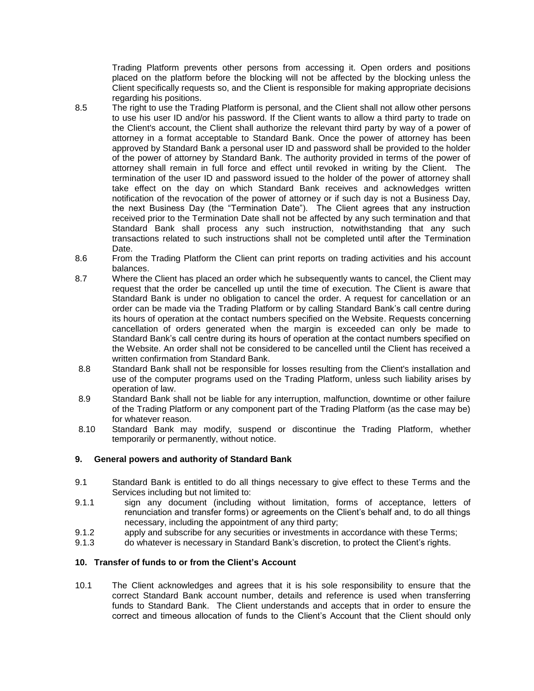Trading Platform prevents other persons from accessing it. Open orders and positions placed on the platform before the blocking will not be affected by the blocking unless the Client specifically requests so, and the Client is responsible for making appropriate decisions regarding his positions.

- 8.5 The right to use the Trading Platform is personal, and the Client shall not allow other persons to use his user ID and/or his password. If the Client wants to allow a third party to trade on the Client's account, the Client shall authorize the relevant third party by way of a power of attorney in a format acceptable to Standard Bank. Once the power of attorney has been approved by Standard Bank a personal user ID and password shall be provided to the holder of the power of attorney by Standard Bank. The authority provided in terms of the power of attorney shall remain in full force and effect until revoked in writing by the Client. The termination of the user ID and password issued to the holder of the power of attorney shall take effect on the day on which Standard Bank receives and acknowledges written notification of the revocation of the power of attorney or if such day is not a Business Day, the next Business Day (the "Termination Date"). The Client agrees that any instruction received prior to the Termination Date shall not be affected by any such termination and that Standard Bank shall process any such instruction, notwithstanding that any such transactions related to such instructions shall not be completed until after the Termination Date.
- 8.6 From the Trading Platform the Client can print reports on trading activities and his account balances.
- 8.7 Where the Client has placed an order which he subsequently wants to cancel, the Client may request that the order be cancelled up until the time of execution. The Client is aware that Standard Bank is under no obligation to cancel the order. A request for cancellation or an order can be made via the Trading Platform or by calling Standard Bank's call centre during its hours of operation at the contact numbers specified on the Website. Requests concerning cancellation of orders generated when the margin is exceeded can only be made to Standard Bank's call centre during its hours of operation at the contact numbers specified on the Website. An order shall not be considered to be cancelled until the Client has received a written confirmation from Standard Bank.
- 8.8 Standard Bank shall not be responsible for losses resulting from the Client's installation and use of the computer programs used on the Trading Platform, unless such liability arises by operation of law.
- 8.9 Standard Bank shall not be liable for any interruption, malfunction, downtime or other failure of the Trading Platform or any component part of the Trading Platform (as the case may be) for whatever reason.
- 8.10 Standard Bank may modify, suspend or discontinue the Trading Platform, whether temporarily or permanently, without notice.

#### **9. General powers and authority of Standard Bank**

- 9.1 Standard Bank is entitled to do all things necessary to give effect to these Terms and the Services including but not limited to:
- 9.1.1 sign any document (including without limitation, forms of acceptance, letters of renunciation and transfer forms) or agreements on the Client's behalf and, to do all things necessary, including the appointment of any third party;
- 9.1.2 apply and subscribe for any securities or investments in accordance with these Terms;
- 9.1.3 do whatever is necessary in Standard Bank's discretion, to protect the Client's rights.

#### **10. Transfer of funds to or from the Client's Account**

10.1 The Client acknowledges and agrees that it is his sole responsibility to ensure that the correct Standard Bank account number, details and reference is used when transferring funds to Standard Bank. The Client understands and accepts that in order to ensure the correct and timeous allocation of funds to the Client's Account that the Client should only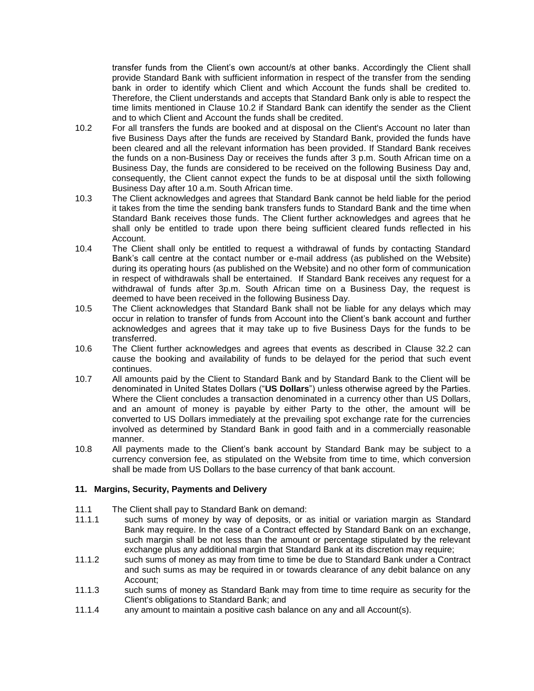transfer funds from the Client's own account/s at other banks. Accordingly the Client shall provide Standard Bank with sufficient information in respect of the transfer from the sending bank in order to identify which Client and which Account the funds shall be credited to. Therefore, the Client understands and accepts that Standard Bank only is able to respect the time limits mentioned in Clause [10.2](#page-10-0) if Standard Bank can identify the sender as the Client and to which Client and Account the funds shall be credited.

- <span id="page-10-0"></span>10.2 For all transfers the funds are booked and at disposal on the Client's Account no later than five Business Days after the funds are received by Standard Bank, provided the funds have been cleared and all the relevant information has been provided. If Standard Bank receives the funds on a non-Business Day or receives the funds after 3 p.m. South African time on a Business Day, the funds are considered to be received on the following Business Day and, consequently, the Client cannot expect the funds to be at disposal until the sixth following Business Day after 10 a.m. South African time.
- 10.3 The Client acknowledges and agrees that Standard Bank cannot be held liable for the period it takes from the time the sending bank transfers funds to Standard Bank and the time when Standard Bank receives those funds. The Client further acknowledges and agrees that he shall only be entitled to trade upon there being sufficient cleared funds reflected in his Account.
- 10.4 The Client shall only be entitled to request a withdrawal of funds by contacting Standard Bank's call centre at the contact number or e-mail address (as published on the Website) during its operating hours (as published on the Website) and no other form of communication in respect of withdrawals shall be entertained. If Standard Bank receives any request for a withdrawal of funds after 3p.m. South African time on a Business Day, the request is deemed to have been received in the following Business Day.
- 10.5 The Client acknowledges that Standard Bank shall not be liable for any delays which may occur in relation to transfer of funds from Account into the Client's bank account and further acknowledges and agrees that it may take up to five Business Days for the funds to be transferred.
- 10.6 The Client further acknowledges and agrees that events as described in Clause [32.2](#page-23-0) can cause the booking and availability of funds to be delayed for the period that such event continues.
- 10.7 All amounts paid by the Client to Standard Bank and by Standard Bank to the Client will be denominated in United States Dollars ("**US Dollars**") unless otherwise agreed by the Parties. Where the Client concludes a transaction denominated in a currency other than US Dollars, and an amount of money is payable by either Party to the other, the amount will be converted to US Dollars immediately at the prevailing spot exchange rate for the currencies involved as determined by Standard Bank in good faith and in a commercially reasonable manner.
- 10.8 All payments made to the Client's bank account by Standard Bank may be subject to a currency conversion fee, as stipulated on the Website from time to time, which conversion shall be made from US Dollars to the base currency of that bank account.

## **11. Margins, Security, Payments and Delivery**

- 11.1 The Client shall pay to Standard Bank on demand:
- 11.1.1 such sums of money by way of deposits, or as initial or variation margin as Standard Bank may require. In the case of a Contract effected by Standard Bank on an exchange, such margin shall be not less than the amount or percentage stipulated by the relevant exchange plus any additional margin that Standard Bank at its discretion may require;
- 11.1.2 such sums of money as may from time to time be due to Standard Bank under a Contract and such sums as may be required in or towards clearance of any debit balance on any Account;
- 11.1.3 such sums of money as Standard Bank may from time to time require as security for the Client's obligations to Standard Bank; and
- 11.1.4 any amount to maintain a positive cash balance on any and all Account(s).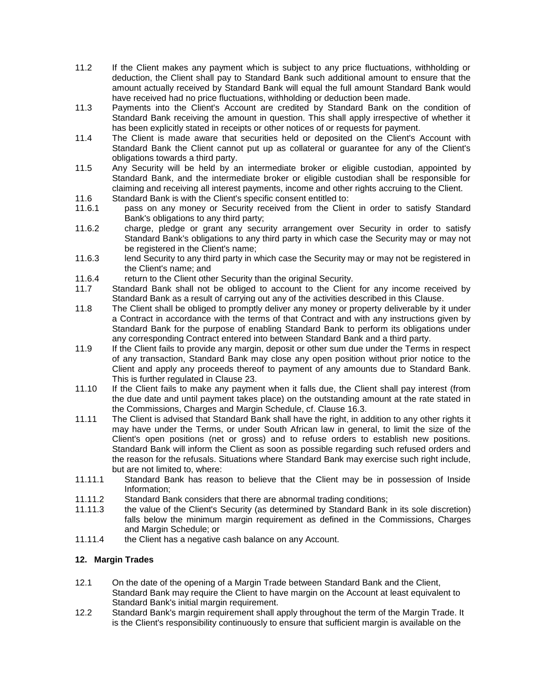- 11.2 If the Client makes any payment which is subject to any price fluctuations, withholding or deduction, the Client shall pay to Standard Bank such additional amount to ensure that the amount actually received by Standard Bank will equal the full amount Standard Bank would have received had no price fluctuations, withholding or deduction been made.
- 11.3 Payments into the Client's Account are credited by Standard Bank on the condition of Standard Bank receiving the amount in question. This shall apply irrespective of whether it has been explicitly stated in receipts or other notices of or requests for payment.
- 11.4 The Client is made aware that securities held or deposited on the Client's Account with Standard Bank the Client cannot put up as collateral or guarantee for any of the Client's obligations towards a third party.
- 11.5 Any Security will be held by an intermediate broker or eligible custodian, appointed by Standard Bank, and the intermediate broker or eligible custodian shall be responsible for claiming and receiving all interest payments, income and other rights accruing to the Client.
- 11.6 Standard Bank is with the Client's specific consent entitled to:
- 11.6.1 pass on any money or Security received from the Client in order to satisfy Standard Bank's obligations to any third party;
- 11.6.2 charge, pledge or grant any security arrangement over Security in order to satisfy Standard Bank's obligations to any third party in which case the Security may or may not be registered in the Client's name;
- 11.6.3 lend Security to any third party in which case the Security may or may not be registered in the Client's name; and
- 11.6.4 return to the Client other Security than the original Security.
- 11.7 Standard Bank shall not be obliged to account to the Client for any income received by Standard Bank as a result of carrying out any of the activities described in this Clause.
- 11.8 The Client shall be obliged to promptly deliver any money or property deliverable by it under a Contract in accordance with the terms of that Contract and with any instructions given by Standard Bank for the purpose of enabling Standard Bank to perform its obligations under any corresponding Contract entered into between Standard Bank and a third party.
- 11.9 If the Client fails to provide any margin, deposit or other sum due under the Terms in respect of any transaction, Standard Bank may close any open position without prior notice to the Client and apply any proceeds thereof to payment of any amounts due to Standard Bank. This is further regulated in Clause [23.](#page-17-0)
- 11.10 If the Client fails to make any payment when it falls due, the Client shall pay interest (from the due date and until payment takes place) on the outstanding amount at the rate stated in the Commissions, Charges and Margin Schedule, cf. Clause [16.3.](#page-14-0)
- 11.11 The Client is advised that Standard Bank shall have the right, in addition to any other rights it may have under the Terms, or under South African law in general, to limit the size of the Client's open positions (net or gross) and to refuse orders to establish new positions. Standard Bank will inform the Client as soon as possible regarding such refused orders and the reason for the refusals. Situations where Standard Bank may exercise such right include, but are not limited to, where:
- 11.11.1 Standard Bank has reason to believe that the Client may be in possession of Inside Information;
- 11.11.2 Standard Bank considers that there are abnormal trading conditions;
- 11.11.3 the value of the Client's Security (as determined by Standard Bank in its sole discretion) falls below the minimum margin requirement as defined in the Commissions, Charges and Margin Schedule; or
- 11.11.4 the Client has a negative cash balance on any Account.

## <span id="page-11-0"></span>**12. Margin Trades**

- 12.1 On the date of the opening of a Margin Trade between Standard Bank and the Client, Standard Bank may require the Client to have margin on the Account at least equivalent to Standard Bank's initial margin requirement.
- 12.2 Standard Bank's margin requirement shall apply throughout the term of the Margin Trade. It is the Client's responsibility continuously to ensure that sufficient margin is available on the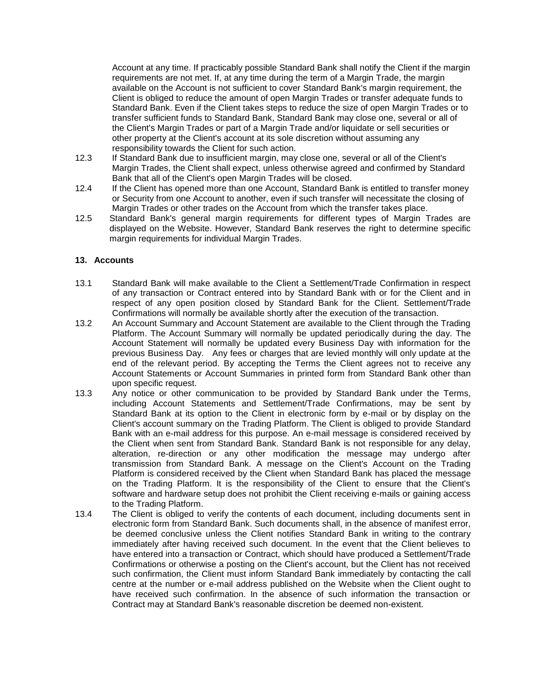Account at any time. If practicably possible Standard Bank shall notify the Client if the margin requirements are not met. If, at any time during the term of a Margin Trade, the margin available on the Account is not sufficient to cover Standard Bank's margin requirement, the Client is obliged to reduce the amount of open Margin Trades or transfer adequate funds to Standard Bank. Even if the Client takes steps to reduce the size of open Margin Trades or to transfer sufficient funds to Standard Bank, Standard Bank may close one, several or all of the Client's Margin Trades or part of a Margin Trade and/or liquidate or sell securities or other property at the Client's account at its sole discretion without assuming any responsibility towards the Client for such action.

- 12.3 If Standard Bank due to insufficient margin, may close one, several or all of the Client's Margin Trades, the Client shall expect, unless otherwise agreed and confirmed by Standard Bank that all of the Client's open Margin Trades will be closed.
- 12.4 If the Client has opened more than one Account, Standard Bank is entitled to transfer money or Security from one Account to another, even if such transfer will necessitate the closing of Margin Trades or other trades on the Account from which the transfer takes place.
- 12.5 Standard Bank's general margin requirements for different types of Margin Trades are displayed on the Website. However, Standard Bank reserves the right to determine specific margin requirements for individual Margin Trades.

## **13. Accounts**

- 13.1 Standard Bank will make available to the Client a Settlement/Trade Confirmation in respect of any transaction or Contract entered into by Standard Bank with or for the Client and in respect of any open position closed by Standard Bank for the Client. Settlement/Trade Confirmations will normally be available shortly after the execution of the transaction.
- 13.2 An Account Summary and Account Statement are available to the Client through the Trading Platform. The Account Summary will normally be updated periodically during the day. The Account Statement will normally be updated every Business Day with information for the previous Business Day. Any fees or charges that are levied monthly will only update at the end of the relevant period. By accepting the Terms the Client agrees not to receive any Account Statements or Account Summaries in printed form from Standard Bank other than upon specific request.
- 13.3 Any notice or other communication to be provided by Standard Bank under the Terms, including Account Statements and Settlement/Trade Confirmations, may be sent by Standard Bank at its option to the Client in electronic form by e-mail or by display on the Client's account summary on the Trading Platform. The Client is obliged to provide Standard Bank with an e-mail address for this purpose. An e-mail message is considered received by the Client when sent from Standard Bank. Standard Bank is not responsible for any delay, alteration, re-direction or any other modification the message may undergo after transmission from Standard Bank. A message on the Client's Account on the Trading Platform is considered received by the Client when Standard Bank has placed the message on the Trading Platform. It is the responsibility of the Client to ensure that the Client's software and hardware setup does not prohibit the Client receiving e-mails or gaining access to the Trading Platform.
- 13.4 The Client is obliged to verify the contents of each document, including documents sent in electronic form from Standard Bank. Such documents shall, in the absence of manifest error, be deemed conclusive unless the Client notifies Standard Bank in writing to the contrary immediately after having received such document. In the event that the Client believes to have entered into a transaction or Contract, which should have produced a Settlement/Trade Confirmations or otherwise a posting on the Client's account, but the Client has not received such confirmation, the Client must inform Standard Bank immediately by contacting the call centre at the number or e-mail address published on the Website when the Client ought to have received such confirmation. In the absence of such information the transaction or Contract may at Standard Bank's reasonable discretion be deemed non-existent.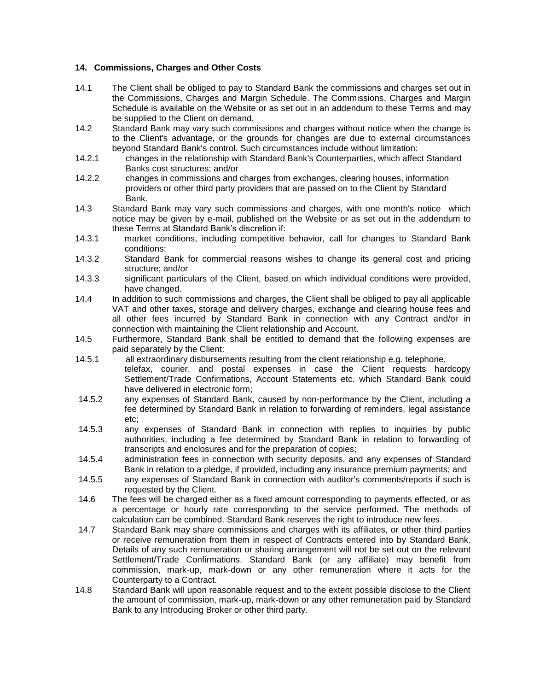## <span id="page-13-0"></span>**14. Commissions, Charges and Other Costs**

- 14.1 The Client shall be obliged to pay to Standard Bank the commissions and charges set out in the Commissions, Charges and Margin Schedule. The Commissions, Charges and Margin Schedule is available on the Website or as set out in an addendum to these Terms and may be supplied to the Client on demand.
- 14.2 Standard Bank may vary such commissions and charges without notice when the change is to the Client's advantage, or the grounds for changes are due to external circumstances beyond Standard Bank's control. Such circumstances include without limitation:
- 14.2.1 changes in the relationship with Standard Bank's Counterparties, which affect Standard Banks cost structures; and/or
- 14.2.2 changes in commissions and charges from exchanges, clearing houses, information providers or other third party providers that are passed on to the Client by Standard Bank.
- 14.3 Standard Bank may vary such commissions and charges, with one month's notice which notice may be given by e-mail, published on the Website or as set out in the addendum to these Terms at Standard Bank's discretion if:
- 14.3.1 market conditions, including competitive behavior, call for changes to Standard Bank conditions;
- 14.3.2 Standard Bank for commercial reasons wishes to change its general cost and pricing structure; and/or
- 14.3.3 significant particulars of the Client, based on which individual conditions were provided, have changed.
- 14.4 In addition to such commissions and charges, the Client shall be obliged to pay all applicable VAT and other taxes, storage and delivery charges, exchange and clearing house fees and all other fees incurred by Standard Bank in connection with any Contract and/or in connection with maintaining the Client relationship and Account.
- 14.5 Furthermore, Standard Bank shall be entitled to demand that the following expenses are paid separately by the Client:
- 14.5.1 all extraordinary disbursements resulting from the client relationship e.g. telephone, telefax, courier, and postal expenses in case the Client requests hardcopy Settlement/Trade Confirmations, Account Statements etc. which Standard Bank could have delivered in electronic form;
- 14.5.2 any expenses of Standard Bank, caused by non-performance by the Client, including a fee determined by Standard Bank in relation to forwarding of reminders, legal assistance etc;
- 14.5.3 any expenses of Standard Bank in connection with replies to inquiries by public authorities, including a fee determined by Standard Bank in relation to forwarding of transcripts and enclosures and for the preparation of copies;
- 14.5.4 administration fees in connection with security deposits, and any expenses of Standard Bank in relation to a pledge, if provided, including any insurance premium payments; and
- 14.5.5 any expenses of Standard Bank in connection with auditor's comments/reports if such is requested by the Client.
- 14.6 The fees will be charged either as a fixed amount corresponding to payments effected, or as a percentage or hourly rate corresponding to the service performed. The methods of calculation can be combined. Standard Bank reserves the right to introduce new fees.
- 14.7 Standard Bank may share commissions and charges with its affiliates, or other third parties or receive remuneration from them in respect of Contracts entered into by Standard Bank. Details of any such remuneration or sharing arrangement will not be set out on the relevant Settlement/Trade Confirmations. Standard Bank (or any affiliate) may benefit from commission, mark-up, mark-down or any other remuneration where it acts for the Counterparty to a Contract.
- 14.8 Standard Bank will upon reasonable request and to the extent possible disclose to the Client the amount of commission, mark-up, mark-down or any other remuneration paid by Standard Bank to any Introducing Broker or other third party.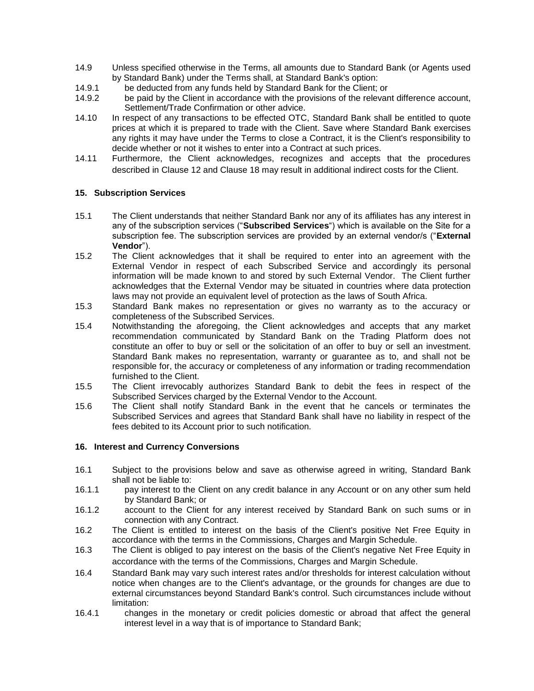- 14.9 Unless specified otherwise in the Terms, all amounts due to Standard Bank (or Agents used by Standard Bank) under the Terms shall, at Standard Bank's option:
- 14.9.1 be deducted from any funds held by Standard Bank for the Client; or
- 14.9.2 be paid by the Client in accordance with the provisions of the relevant difference account, Settlement/Trade Confirmation or other advice.
- 14.10 In respect of any transactions to be effected OTC, Standard Bank shall be entitled to quote prices at which it is prepared to trade with the Client. Save where Standard Bank exercises any rights it may have under the Terms to close a Contract, it is the Client's responsibility to decide whether or not it wishes to enter into a Contract at such prices.
- 14.11 Furthermore, the Client acknowledges, recognizes and accepts that the procedures described in Clause [12](#page-11-0) and Clause [18](#page-15-0) may result in additional indirect costs for the Client.

## **15. Subscription Services**

- 15.1 The Client understands that neither Standard Bank nor any of its affiliates has any interest in any of the subscription services ("**Subscribed Services**") which is available on the Site for a subscription fee. The subscription services are provided by an external vendor/s ("**External Vendor**").
- 15.2 The Client acknowledges that it shall be required to enter into an agreement with the External Vendor in respect of each Subscribed Service and accordingly its personal information will be made known to and stored by such External Vendor. The Client further acknowledges that the External Vendor may be situated in countries where data protection laws may not provide an equivalent level of protection as the laws of South Africa.
- 15.3 Standard Bank makes no representation or gives no warranty as to the accuracy or completeness of the Subscribed Services.
- 15.4 Notwithstanding the aforegoing, the Client acknowledges and accepts that any market recommendation communicated by Standard Bank on the Trading Platform does not constitute an offer to buy or sell or the solicitation of an offer to buy or sell an investment. Standard Bank makes no representation, warranty or guarantee as to, and shall not be responsible for, the accuracy or completeness of any information or trading recommendation furnished to the Client.
- 15.5 The Client irrevocably authorizes Standard Bank to debit the fees in respect of the Subscribed Services charged by the External Vendor to the Account.
- 15.6 The Client shall notify Standard Bank in the event that he cancels or terminates the Subscribed Services and agrees that Standard Bank shall have no liability in respect of the fees debited to its Account prior to such notification.

#### **16. Interest and Currency Conversions**

- 16.1 Subject to the provisions below and save as otherwise agreed in writing, Standard Bank shall not be liable to:
- 16.1.1 pay interest to the Client on any credit balance in any Account or on any other sum held by Standard Bank; or
- 16.1.2 account to the Client for any interest received by Standard Bank on such sums or in connection with any Contract.
- 16.2 The Client is entitled to interest on the basis of the Client's positive Net Free Equity in accordance with the terms in the Commissions, Charges and Margin Schedule.
- <span id="page-14-0"></span>16.3 The Client is obliged to pay interest on the basis of the Client's negative Net Free Equity in accordance with the terms of the Commissions, Charges and Margin Schedule.
- 16.4 Standard Bank may vary such interest rates and/or thresholds for interest calculation without notice when changes are to the Client's advantage, or the grounds for changes are due to external circumstances beyond Standard Bank's control. Such circumstances include without limitation:
- 16.4.1 changes in the monetary or credit policies domestic or abroad that affect the general interest level in a way that is of importance to Standard Bank;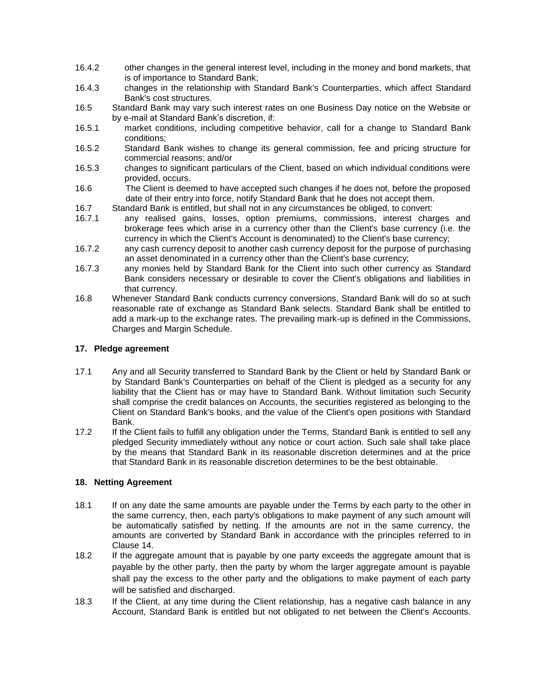- 16.4.2 other changes in the general interest level, including in the money and bond markets, that is of importance to Standard Bank;
- 16.4.3 changes in the relationship with Standard Bank's Counterparties, which affect Standard Bank's cost structures.
- 16.5 Standard Bank may vary such interest rates on one Business Day notice on the Website or by e-mail at Standard Bank's discretion, if:
- 16.5.1 market conditions, including competitive behavior, call for a change to Standard Bank conditions;
- 16.5.2 Standard Bank wishes to change its general commission, fee and pricing structure for commercial reasons; and/or
- 16.5.3 changes to significant particulars of the Client, based on which individual conditions were provided, occurs.
- 16.6 The Client is deemed to have accepted such changes if he does not, before the proposed date of their entry into force, notify Standard Bank that he does not accept them.
- 16.7 Standard Bank is entitled, but shall not in any circumstances be obliged, to convert:
- 16.7.1 any realised gains, losses, option premiums, commissions, interest charges and brokerage fees which arise in a currency other than the Client's base currency (i.e. the currency in which the Client's Account is denominated) to the Client's base currency;
- 16.7.2 any cash currency deposit to another cash currency deposit for the purpose of purchasing an asset denominated in a currency other than the Client's base currency;
- 16.7.3 any monies held by Standard Bank for the Client into such other currency as Standard Bank considers necessary or desirable to cover the Client's obligations and liabilities in that currency.
- 16.8 Whenever Standard Bank conducts currency conversions, Standard Bank will do so at such reasonable rate of exchange as Standard Bank selects. Standard Bank shall be entitled to add a mark-up to the exchange rates. The prevailing mark-up is defined in the Commissions, Charges and Margin Schedule.

## <span id="page-15-1"></span>**17. Pledge agreement**

- 17.1 Any and all Security transferred to Standard Bank by the Client or held by Standard Bank or by Standard Bank's Counterparties on behalf of the Client is pledged as a security for any liability that the Client has or may have to Standard Bank. Without limitation such Security shall comprise the credit balances on Accounts, the securities registered as belonging to the Client on Standard Bank's books, and the value of the Client's open positions with Standard Bank.
- 17.2 If the Client fails to fulfill any obligation under the Terms, Standard Bank is entitled to sell any pledged Security immediately without any notice or court action. Such sale shall take place by the means that Standard Bank in its reasonable discretion determines and at the price that Standard Bank in its reasonable discretion determines to be the best obtainable.

## <span id="page-15-0"></span>**18. Netting Agreement**

- 18.1 If on any date the same amounts are payable under the Terms by each party to the other in the same currency, then, each party's obligations to make payment of any such amount will be automatically satisfied by netting. If the amounts are not in the same currency, the amounts are converted by Standard Bank in accordance with the principles referred to in Clause [14.](#page-13-0)
- 18.2 If the aggregate amount that is payable by one party exceeds the aggregate amount that is payable by the other party, then the party by whom the larger aggregate amount is payable shall pay the excess to the other party and the obligations to make payment of each party will be satisfied and discharged.
- 18.3 If the Client, at any time during the Client relationship, has a negative cash balance in any Account, Standard Bank is entitled but not obligated to net between the Client's Accounts.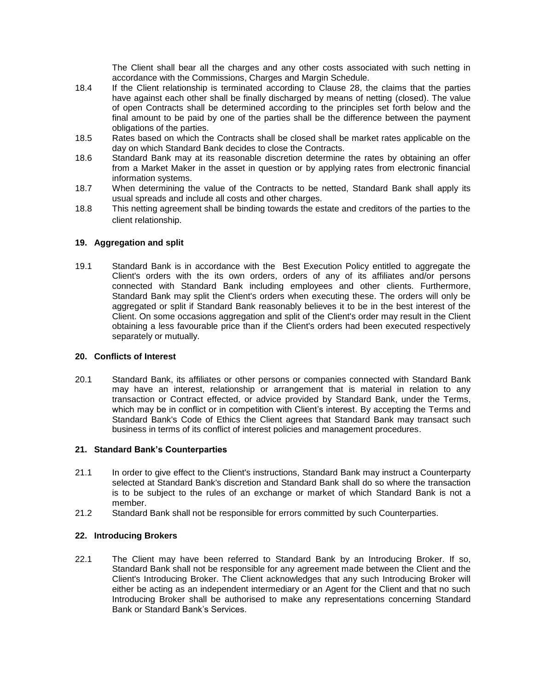The Client shall bear all the charges and any other costs associated with such netting in accordance with the Commissions, Charges and Margin Schedule.

- 18.4 If the Client relationship is terminated according to Clause [28,](#page-21-0) the claims that the parties have against each other shall be finally discharged by means of netting (closed). The value of open Contracts shall be determined according to the principles set forth below and the final amount to be paid by one of the parties shall be the difference between the payment obligations of the parties.
- 18.5 Rates based on which the Contracts shall be closed shall be market rates applicable on the day on which Standard Bank decides to close the Contracts.
- 18.6 Standard Bank may at its reasonable discretion determine the rates by obtaining an offer from a Market Maker in the asset in question or by applying rates from electronic financial information systems.
- 18.7 When determining the value of the Contracts to be netted, Standard Bank shall apply its usual spreads and include all costs and other charges.
- 18.8 This netting agreement shall be binding towards the estate and creditors of the parties to the client relationship.

## **19. Aggregation and split**

19.1 Standard Bank is in accordance with the Best Execution Policy entitled to aggregate the Client's orders with the its own orders, orders of any of its affiliates and/or persons connected with Standard Bank including employees and other clients. Furthermore, Standard Bank may split the Client's orders when executing these. The orders will only be aggregated or split if Standard Bank reasonably believes it to be in the best interest of the Client. On some occasions aggregation and split of the Client's order may result in the Client obtaining a less favourable price than if the Client's orders had been executed respectively separately or mutually.

#### **20. Conflicts of Interest**

20.1 Standard Bank, its affiliates or other persons or companies connected with Standard Bank may have an interest, relationship or arrangement that is material in relation to any transaction or Contract effected, or advice provided by Standard Bank, under the Terms, which may be in conflict or in competition with Client's interest. By accepting the Terms and Standard Bank's Code of Ethics the Client agrees that Standard Bank may transact such business in terms of its conflict of interest policies and management procedures.

#### **21. Standard Bank's Counterparties**

- 21.1 In order to give effect to the Client's instructions, Standard Bank may instruct a Counterparty selected at Standard Bank's discretion and Standard Bank shall do so where the transaction is to be subject to the rules of an exchange or market of which Standard Bank is not a member.
- 21.2 Standard Bank shall not be responsible for errors committed by such Counterparties.

#### **22. Introducing Brokers**

22.1 The Client may have been referred to Standard Bank by an Introducing Broker. If so, Standard Bank shall not be responsible for any agreement made between the Client and the Client's Introducing Broker. The Client acknowledges that any such Introducing Broker will either be acting as an independent intermediary or an Agent for the Client and that no such Introducing Broker shall be authorised to make any representations concerning Standard Bank or Standard Bank's Services.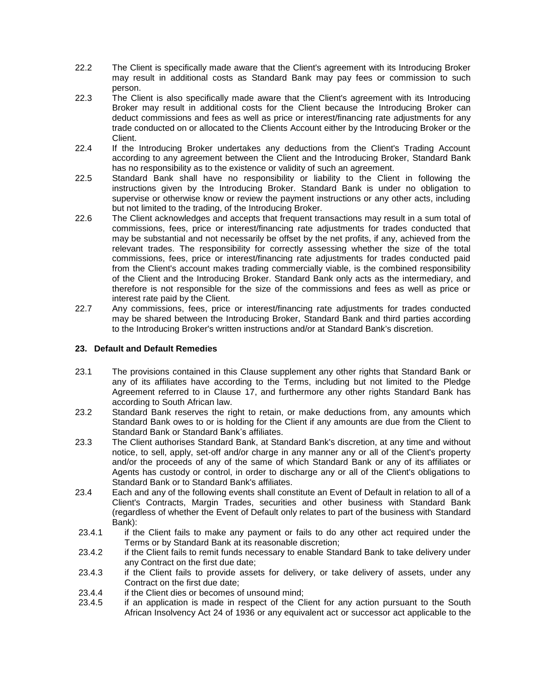- 22.2 The Client is specifically made aware that the Client's agreement with its Introducing Broker may result in additional costs as Standard Bank may pay fees or commission to such person.
- 22.3 The Client is also specifically made aware that the Client's agreement with its Introducing Broker may result in additional costs for the Client because the Introducing Broker can deduct commissions and fees as well as price or interest/financing rate adjustments for any trade conducted on or allocated to the Clients Account either by the Introducing Broker or the Client.
- 22.4 If the Introducing Broker undertakes any deductions from the Client's Trading Account according to any agreement between the Client and the Introducing Broker, Standard Bank has no responsibility as to the existence or validity of such an agreement.
- 22.5 Standard Bank shall have no responsibility or liability to the Client in following the instructions given by the Introducing Broker. Standard Bank is under no obligation to supervise or otherwise know or review the payment instructions or any other acts, including but not limited to the trading, of the Introducing Broker.
- 22.6 The Client acknowledges and accepts that frequent transactions may result in a sum total of commissions, fees, price or interest/financing rate adjustments for trades conducted that may be substantial and not necessarily be offset by the net profits, if any, achieved from the relevant trades. The responsibility for correctly assessing whether the size of the total commissions, fees, price or interest/financing rate adjustments for trades conducted paid from the Client's account makes trading commercially viable, is the combined responsibility of the Client and the Introducing Broker. Standard Bank only acts as the intermediary, and therefore is not responsible for the size of the commissions and fees as well as price or interest rate paid by the Client.
- 22.7 Any commissions, fees, price or interest/financing rate adjustments for trades conducted may be shared between the Introducing Broker, Standard Bank and third parties according to the Introducing Broker's written instructions and/or at Standard Bank's discretion.

## <span id="page-17-0"></span>**23. Default and Default Remedies**

- 23.1 The provisions contained in this Clause supplement any other rights that Standard Bank or any of its affiliates have according to the Terms, including but not limited to the Pledge Agreement referred to in Clause [17,](#page-15-1) and furthermore any other rights Standard Bank has according to South African law.
- 23.2 Standard Bank reserves the right to retain, or make deductions from, any amounts which Standard Bank owes to or is holding for the Client if any amounts are due from the Client to Standard Bank or Standard Bank's affiliates.
- 23.3 The Client authorises Standard Bank, at Standard Bank's discretion, at any time and without notice, to sell, apply, set-off and/or charge in any manner any or all of the Client's property and/or the proceeds of any of the same of which Standard Bank or any of its affiliates or Agents has custody or control, in order to discharge any or all of the Client's obligations to Standard Bank or to Standard Bank's affiliates.
- 23.4 Each and any of the following events shall constitute an Event of Default in relation to all of a Client's Contracts, Margin Trades, securities and other business with Standard Bank (regardless of whether the Event of Default only relates to part of the business with Standard Bank):
- 23.4.1 if the Client fails to make any payment or fails to do any other act required under the Terms or by Standard Bank at its reasonable discretion;
- 23.4.2 if the Client fails to remit funds necessary to enable Standard Bank to take delivery under any Contract on the first due date;
- 23.4.3 if the Client fails to provide assets for delivery, or take delivery of assets, under any Contract on the first due date;
- 23.4.4 if the Client dies or becomes of unsound mind:
- 23.4.5 if an application is made in respect of the Client for any action pursuant to the South African Insolvency Act 24 of 1936 or any equivalent act or successor act applicable to the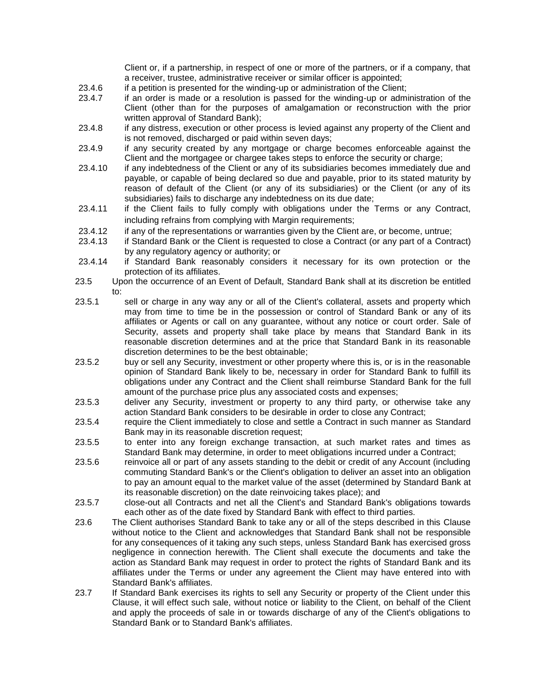Client or, if a partnership, in respect of one or more of the partners, or if a company, that a receiver, trustee, administrative receiver or similar officer is appointed;

- 23.4.6 if a petition is presented for the winding-up or administration of the Client;
- 23.4.7 if an order is made or a resolution is passed for the winding-up or administration of the Client (other than for the purposes of amalgamation or reconstruction with the prior written approval of Standard Bank);
- 23.4.8 if any distress, execution or other process is levied against any property of the Client and is not removed, discharged or paid within seven days;
- 23.4.9 if any security created by any mortgage or charge becomes enforceable against the Client and the mortgagee or chargee takes steps to enforce the security or charge;
- 23.4.10 if any indebtedness of the Client or any of its subsidiaries becomes immediately due and payable, or capable of being declared so due and payable, prior to its stated maturity by reason of default of the Client (or any of its subsidiaries) or the Client (or any of its subsidiaries) fails to discharge any indebtedness on its due date;
- 23.4.11 if the Client fails to fully comply with obligations under the Terms or any Contract, including refrains from complying with Margin requirements;
- 23.4.12 if any of the representations or warranties given by the Client are, or become, untrue;
- 23.4.13 if Standard Bank or the Client is requested to close a Contract (or any part of a Contract) by any regulatory agency or authority; or
- 23.4.14 if Standard Bank reasonably considers it necessary for its own protection or the protection of its affiliates.
- 23.5 Upon the occurrence of an Event of Default, Standard Bank shall at its discretion be entitled  $t^{\circ}$
- 23.5.1 sell or charge in any way any or all of the Client's collateral, assets and property which may from time to time be in the possession or control of Standard Bank or any of its affiliates or Agents or call on any guarantee, without any notice or court order. Sale of Security, assets and property shall take place by means that Standard Bank in its reasonable discretion determines and at the price that Standard Bank in its reasonable discretion determines to be the best obtainable;
- 23.5.2 buy or sell any Security, investment or other property where this is, or is in the reasonable opinion of Standard Bank likely to be, necessary in order for Standard Bank to fulfill its obligations under any Contract and the Client shall reimburse Standard Bank for the full amount of the purchase price plus any associated costs and expenses;
- 23.5.3 deliver any Security, investment or property to any third party, or otherwise take any action Standard Bank considers to be desirable in order to close any Contract;
- 23.5.4 require the Client immediately to close and settle a Contract in such manner as Standard Bank may in its reasonable discretion request;
- 23.5.5 to enter into any foreign exchange transaction, at such market rates and times as Standard Bank may determine, in order to meet obligations incurred under a Contract;
- 23.5.6 reinvoice all or part of any assets standing to the debit or credit of any Account (including commuting Standard Bank's or the Client's obligation to deliver an asset into an obligation to pay an amount equal to the market value of the asset (determined by Standard Bank at its reasonable discretion) on the date reinvoicing takes place); and
- 23.5.7 close-out all Contracts and net all the Client's and Standard Bank's obligations towards each other as of the date fixed by Standard Bank with effect to third parties.
- 23.6 The Client authorises Standard Bank to take any or all of the steps described in this Clause without notice to the Client and acknowledges that Standard Bank shall not be responsible for any consequences of it taking any such steps, unless Standard Bank has exercised gross negligence in connection herewith. The Client shall execute the documents and take the action as Standard Bank may request in order to protect the rights of Standard Bank and its affiliates under the Terms or under any agreement the Client may have entered into with Standard Bank's affiliates.
- 23.7 If Standard Bank exercises its rights to sell any Security or property of the Client under this Clause, it will effect such sale, without notice or liability to the Client, on behalf of the Client and apply the proceeds of sale in or towards discharge of any of the Client's obligations to Standard Bank or to Standard Bank's affiliates.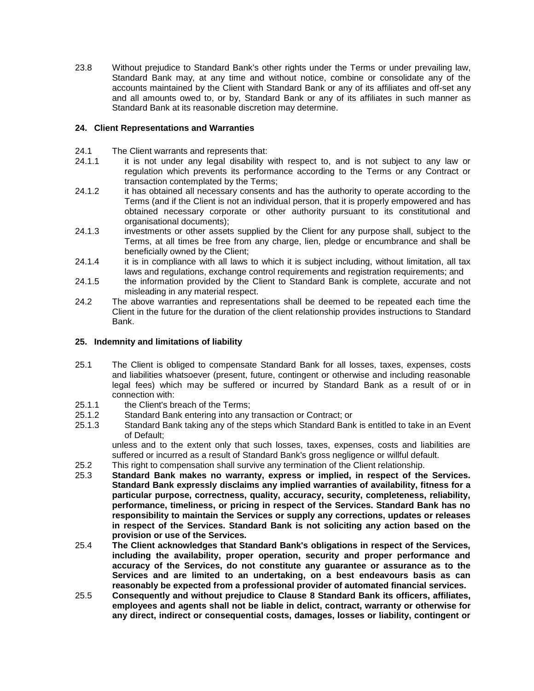23.8 Without prejudice to Standard Bank's other rights under the Terms or under prevailing law, Standard Bank may, at any time and without notice, combine or consolidate any of the accounts maintained by the Client with Standard Bank or any of its affiliates and off-set any and all amounts owed to, or by, Standard Bank or any of its affiliates in such manner as Standard Bank at its reasonable discretion may determine.

## **24. Client Representations and Warranties**

- 24.1 The Client warrants and represents that:
- 24.1.1 it is not under any legal disability with respect to, and is not subject to any law or regulation which prevents its performance according to the Terms or any Contract or transaction contemplated by the Terms;
- 24.1.2 it has obtained all necessary consents and has the authority to operate according to the Terms (and if the Client is not an individual person, that it is properly empowered and has obtained necessary corporate or other authority pursuant to its constitutional and organisational documents);
- 24.1.3 investments or other assets supplied by the Client for any purpose shall, subject to the Terms, at all times be free from any charge, lien, pledge or encumbrance and shall be beneficially owned by the Client;
- 24.1.4 it is in compliance with all laws to which it is subject including, without limitation, all tax laws and regulations, exchange control requirements and registration requirements; and
- 24.1.5 the information provided by the Client to Standard Bank is complete, accurate and not misleading in any material respect.
- 24.2 The above warranties and representations shall be deemed to be repeated each time the Client in the future for the duration of the client relationship provides instructions to Standard Bank.

#### **25. Indemnity and limitations of liability**

- 25.1 The Client is obliged to compensate Standard Bank for all losses, taxes, expenses, costs and liabilities whatsoever (present, future, contingent or otherwise and including reasonable legal fees) which may be suffered or incurred by Standard Bank as a result of or in connection with:
- 25.1.1 the Client's breach of the Terms;
- 25.1.2 Standard Bank entering into any transaction or Contract; or
- 25.1.3 Standard Bank taking any of the steps which Standard Bank is entitled to take in an Event of Default;

unless and to the extent only that such losses, taxes, expenses, costs and liabilities are suffered or incurred as a result of Standard Bank's gross negligence or willful default.

- 25.2 This right to compensation shall survive any termination of the Client relationship.
- 25.3 **Standard Bank makes no warranty, express or implied, in respect of the Services. Standard Bank expressly disclaims any implied warranties of availability, fitness for a particular purpose, correctness, quality, accuracy, security, completeness, reliability, performance, timeliness, or pricing in respect of the Services. Standard Bank has no responsibility to maintain the Services or supply any corrections, updates or releases in respect of the Services. Standard Bank is not soliciting any action based on the provision or use of the Services.**
- 25.4 **The Client acknowledges that Standard Bank's obligations in respect of the Services, including the availability, proper operation, security and proper performance and accuracy of the Services, do not constitute any guarantee or assurance as to the Services and are limited to an undertaking, on a best endeavours basis as can reasonably be expected from a professional provider of automated financial services.**
- <span id="page-19-0"></span>25.5 **Consequently and without prejudice to Clause [8](#page-8-0) Standard Bank its officers, affiliates, employees and agents shall not be liable in delict, contract, warranty or otherwise for any direct, indirect or consequential costs, damages, losses or liability, contingent or**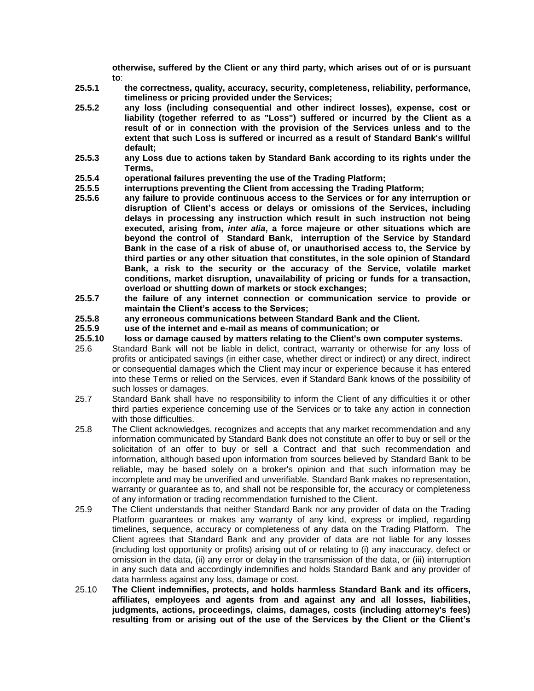**otherwise, suffered by the Client or any third party, which arises out of or is pursuant to**:

- **25.5.1 the correctness, quality, accuracy, security, completeness, reliability, performance, timeliness or pricing provided under the Services;**
- **25.5.2 any loss (including consequential and other indirect losses), expense, cost or liability (together referred to as "Loss") suffered or incurred by the Client as a result of or in connection with the provision of the Services unless and to the extent that such Loss is suffered or incurred as a result of Standard Bank's willful default;**
- **25.5.3 any Loss due to actions taken by Standard Bank according to its rights under the Terms,**
- **25.5.4 operational failures preventing the use of the Trading Platform;**
- **25.5.5 interruptions preventing the Client from accessing the Trading Platform;**
- **25.5.6 any failure to provide continuous access to the Services or for any interruption or disruption of Client's access or delays or omissions of the Services, including delays in processing any instruction which result in such instruction not being executed, arising from,** *inter alia***, a force majeure or other situations which are beyond the control of Standard Bank, interruption of the Service by Standard Bank in the case of a risk of abuse of, or unauthorised access to, the Service by third parties or any other situation that constitutes, in the sole opinion of Standard Bank, a risk to the security or the accuracy of the Service, volatile market conditions, market disruption, unavailability of pricing or funds for a transaction, overload or shutting down of markets or stock exchanges;**
- **25.5.7 the failure of any internet connection or communication service to provide or maintain the Client's access to the Services;**
- **25.5.8 any erroneous communications between Standard Bank and the Client.**
- **25.5.9 use of the internet and e-mail as means of communication; or**
- **25.5.10 loss or damage caused by matters relating to the Client's own computer systems.**
- 25.6 Standard Bank will not be liable in delict, contract, warranty or otherwise for any loss of profits or anticipated savings (in either case, whether direct or indirect) or any direct, indirect or consequential damages which the Client may incur or experience because it has entered into these Terms or relied on the Services, even if Standard Bank knows of the possibility of such losses or damages.
- 25.7 Standard Bank shall have no responsibility to inform the Client of any difficulties it or other third parties experience concerning use of the Services or to take any action in connection with those difficulties.
- 25.8 The Client acknowledges, recognizes and accepts that any market recommendation and any information communicated by Standard Bank does not constitute an offer to buy or sell or the solicitation of an offer to buy or sell a Contract and that such recommendation and information, although based upon information from sources believed by Standard Bank to be reliable, may be based solely on a broker's opinion and that such information may be incomplete and may be unverified and unverifiable. Standard Bank makes no representation, warranty or guarantee as to, and shall not be responsible for, the accuracy or completeness of any information or trading recommendation furnished to the Client.
- 25.9 The Client understands that neither Standard Bank nor any provider of data on the Trading Platform guarantees or makes any warranty of any kind, express or implied, regarding timelines, sequence, accuracy or completeness of any data on the Trading Platform. The Client agrees that Standard Bank and any provider of data are not liable for any losses (including lost opportunity or profits) arising out of or relating to (i) any inaccuracy, defect or omission in the data, (ii) any error or delay in the transmission of the data, or (iii) interruption in any such data and accordingly indemnifies and holds Standard Bank and any provider of data harmless against any loss, damage or cost.
- 25.10 **The Client indemnifies, protects, and holds harmless Standard Bank and its officers, affiliates, employees and agents from and against any and all losses, liabilities, judgments, actions, proceedings, claims, damages, costs (including attorney's fees) resulting from or arising out of the use of the Services by the Client or the Client's**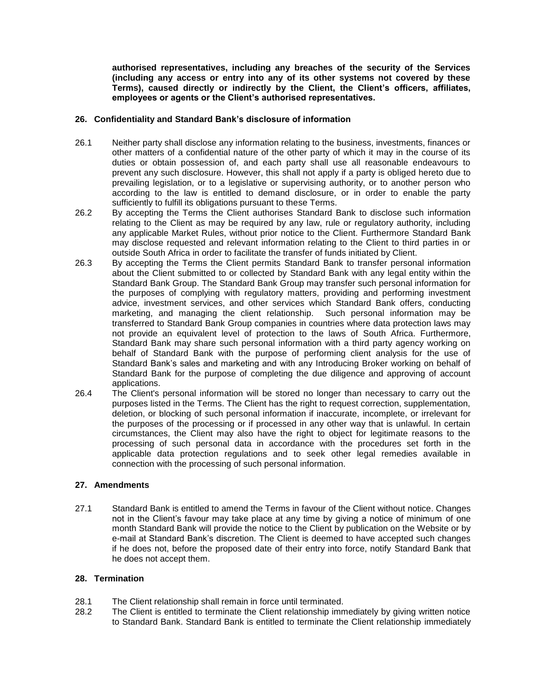**authorised representatives, including any breaches of the security of the Services (including any access or entry into any of its other systems not covered by these Terms), caused directly or indirectly by the Client, the Client's officers, affiliates, employees or agents or the Client's authorised representatives.**

#### **26. Confidentiality and Standard Bank's disclosure of information**

- 26.1 Neither party shall disclose any information relating to the business, investments, finances or other matters of a confidential nature of the other party of which it may in the course of its duties or obtain possession of, and each party shall use all reasonable endeavours to prevent any such disclosure. However, this shall not apply if a party is obliged hereto due to prevailing legislation, or to a legislative or supervising authority, or to another person who according to the law is entitled to demand disclosure, or in order to enable the party sufficiently to fulfill its obligations pursuant to these Terms.
- 26.2 By accepting the Terms the Client authorises Standard Bank to disclose such information relating to the Client as may be required by any law, rule or regulatory authority, including any applicable Market Rules, without prior notice to the Client. Furthermore Standard Bank may disclose requested and relevant information relating to the Client to third parties in or outside South Africa in order to facilitate the transfer of funds initiated by Client.
- 26.3 By accepting the Terms the Client permits Standard Bank to transfer personal information about the Client submitted to or collected by Standard Bank with any legal entity within the Standard Bank Group. The Standard Bank Group may transfer such personal information for the purposes of complying with regulatory matters, providing and performing investment advice, investment services, and other services which Standard Bank offers, conducting marketing, and managing the client relationship. Such personal information may be transferred to Standard Bank Group companies in countries where data protection laws may not provide an equivalent level of protection to the laws of South Africa. Furthermore, Standard Bank may share such personal information with a third party agency working on behalf of Standard Bank with the purpose of performing client analysis for the use of Standard Bank's sales and marketing and with any Introducing Broker working on behalf of Standard Bank for the purpose of completing the due diligence and approving of account applications.
- 26.4 The Client's personal information will be stored no longer than necessary to carry out the purposes listed in the Terms. The Client has the right to request correction, supplementation, deletion, or blocking of such personal information if inaccurate, incomplete, or irrelevant for the purposes of the processing or if processed in any other way that is unlawful. In certain circumstances, the Client may also have the right to object for legitimate reasons to the processing of such personal data in accordance with the procedures set forth in the applicable data protection regulations and to seek other legal remedies available in connection with the processing of such personal information.

## **27. Amendments**

27.1 Standard Bank is entitled to amend the Terms in favour of the Client without notice. Changes not in the Client's favour may take place at any time by giving a notice of minimum of one month Standard Bank will provide the notice to the Client by publication on the Website or by e-mail at Standard Bank's discretion. The Client is deemed to have accepted such changes if he does not, before the proposed date of their entry into force, notify Standard Bank that he does not accept them.

#### <span id="page-21-0"></span>**28. Termination**

- 28.1 The Client relationship shall remain in force until terminated.
- 28.2 The Client is entitled to terminate the Client relationship immediately by giving written notice to Standard Bank. Standard Bank is entitled to terminate the Client relationship immediately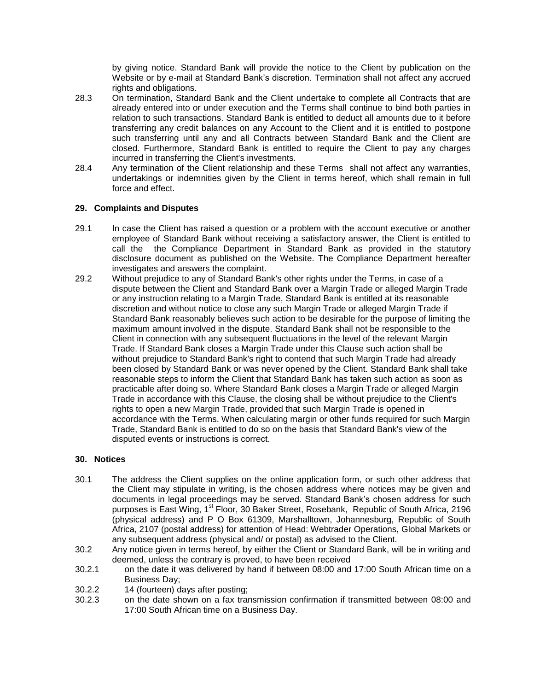by giving notice. Standard Bank will provide the notice to the Client by publication on the Website or by e-mail at Standard Bank's discretion. Termination shall not affect any accrued rights and obligations.

- 28.3 On termination, Standard Bank and the Client undertake to complete all Contracts that are already entered into or under execution and the Terms shall continue to bind both parties in relation to such transactions. Standard Bank is entitled to deduct all amounts due to it before transferring any credit balances on any Account to the Client and it is entitled to postpone such transferring until any and all Contracts between Standard Bank and the Client are closed. Furthermore, Standard Bank is entitled to require the Client to pay any charges incurred in transferring the Client's investments.
- 28.4 Any termination of the Client relationship and these Terms shall not affect any warranties, undertakings or indemnities given by the Client in terms hereof, which shall remain in full force and effect.

## **29. Complaints and Disputes**

- 29.1 In case the Client has raised a question or a problem with the account executive or another employee of Standard Bank without receiving a satisfactory answer, the Client is entitled to call the the Compliance Department in Standard Bank as provided in the statutory disclosure document as published on the Website. The Compliance Department hereafter investigates and answers the complaint.
- 29.2 Without prejudice to any of Standard Bank's other rights under the Terms, in case of a dispute between the Client and Standard Bank over a Margin Trade or alleged Margin Trade or any instruction relating to a Margin Trade, Standard Bank is entitled at its reasonable discretion and without notice to close any such Margin Trade or alleged Margin Trade if Standard Bank reasonably believes such action to be desirable for the purpose of limiting the maximum amount involved in the dispute. Standard Bank shall not be responsible to the Client in connection with any subsequent fluctuations in the level of the relevant Margin Trade. If Standard Bank closes a Margin Trade under this Clause such action shall be without prejudice to Standard Bank's right to contend that such Margin Trade had already been closed by Standard Bank or was never opened by the Client. Standard Bank shall take reasonable steps to inform the Client that Standard Bank has taken such action as soon as practicable after doing so. Where Standard Bank closes a Margin Trade or alleged Margin Trade in accordance with this Clause, the closing shall be without prejudice to the Client's rights to open a new Margin Trade, provided that such Margin Trade is opened in accordance with the Terms. When calculating margin or other funds required for such Margin Trade, Standard Bank is entitled to do so on the basis that Standard Bank's view of the disputed events or instructions is correct.

#### **30. Notices**

- 30.1 The address the Client supplies on the online application form, or such other address that the Client may stipulate in writing, is the chosen address where notices may be given and documents in legal proceedings may be served. Standard Bank's chosen address for such purposes is East Wing, 1<sup>st</sup> Floor, 30 Baker Street, Rosebank, Republic of South Africa, 2196 (physical address) and P O Box 61309, Marshalltown, Johannesburg, Republic of South Africa, 2107 (postal address) for attention of Head: Webtrader Operations, Global Markets or any subsequent address (physical and/ or postal) as advised to the Client.
- 30.2 Any notice given in terms hereof, by either the Client or Standard Bank, will be in writing and deemed, unless the contrary is proved, to have been received
- 30.2.1 on the date it was delivered by hand if between 08:00 and 17:00 South African time on a Business Day;
- 30.2.2 14 (fourteen) days after posting;
- 30.2.3 on the date shown on a fax transmission confirmation if transmitted between 08:00 and 17:00 South African time on a Business Day.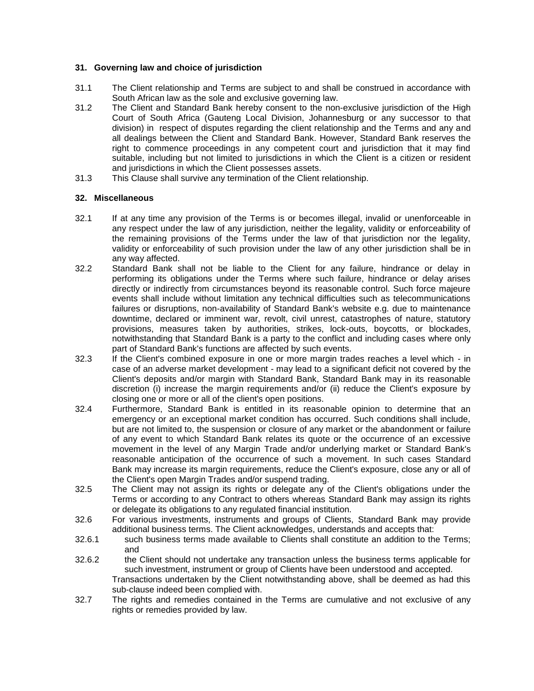## **31. Governing law and choice of jurisdiction**

- 31.1 The Client relationship and Terms are subject to and shall be construed in accordance with South African law as the sole and exclusive governing law.
- 31.2 The Client and Standard Bank hereby consent to the non-exclusive jurisdiction of the High Court of South Africa (Gauteng Local Division, Johannesburg or any successor to that division) in respect of disputes regarding the client relationship and the Terms and any and all dealings between the Client and Standard Bank. However, Standard Bank reserves the right to commence proceedings in any competent court and jurisdiction that it may find suitable, including but not limited to jurisdictions in which the Client is a citizen or resident and jurisdictions in which the Client possesses assets.
- 31.3 This Clause shall survive any termination of the Client relationship.

## **32. Miscellaneous**

- 32.1 If at any time any provision of the Terms is or becomes illegal, invalid or unenforceable in any respect under the law of any jurisdiction, neither the legality, validity or enforceability of the remaining provisions of the Terms under the law of that jurisdiction nor the legality, validity or enforceability of such provision under the law of any other jurisdiction shall be in any way affected.
- <span id="page-23-0"></span>32.2 Standard Bank shall not be liable to the Client for any failure, hindrance or delay in performing its obligations under the Terms where such failure, hindrance or delay arises directly or indirectly from circumstances beyond its reasonable control. Such force majeure events shall include without limitation any technical difficulties such as telecommunications failures or disruptions, non-availability of Standard Bank's website e.g. due to maintenance downtime, declared or imminent war, revolt, civil unrest, catastrophes of nature, statutory provisions, measures taken by authorities, strikes, lock-outs, boycotts, or blockades, notwithstanding that Standard Bank is a party to the conflict and including cases where only part of Standard Bank's functions are affected by such events.
- 32.3 If the Client's combined exposure in one or more margin trades reaches a level which in case of an adverse market development - may lead to a significant deficit not covered by the Client's deposits and/or margin with Standard Bank, Standard Bank may in its reasonable discretion (i) increase the margin requirements and/or (ii) reduce the Client's exposure by closing one or more or all of the client's open positions.
- 32.4 Furthermore, Standard Bank is entitled in its reasonable opinion to determine that an emergency or an exceptional market condition has occurred. Such conditions shall include, but are not limited to, the suspension or closure of any market or the abandonment or failure of any event to which Standard Bank relates its quote or the occurrence of an excessive movement in the level of any Margin Trade and/or underlying market or Standard Bank's reasonable anticipation of the occurrence of such a movement. In such cases Standard Bank may increase its margin requirements, reduce the Client's exposure, close any or all of the Client's open Margin Trades and/or suspend trading.
- 32.5 The Client may not assign its rights or delegate any of the Client's obligations under the Terms or according to any Contract to others whereas Standard Bank may assign its rights or delegate its obligations to any regulated financial institution.
- 32.6 For various investments, instruments and groups of Clients, Standard Bank may provide additional business terms. The Client acknowledges, understands and accepts that:
- 32.6.1 such business terms made available to Clients shall constitute an addition to the Terms; and
- 32.6.2 the Client should not undertake any transaction unless the business terms applicable for such investment, instrument or group of Clients have been understood and accepted. Transactions undertaken by the Client notwithstanding above, shall be deemed as had this sub-clause indeed been complied with.
- 32.7 The rights and remedies contained in the Terms are cumulative and not exclusive of any rights or remedies provided by law.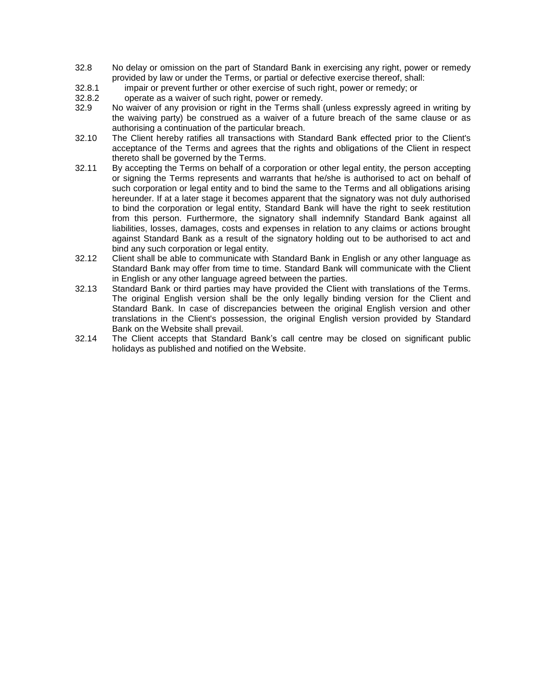- 32.8 No delay or omission on the part of Standard Bank in exercising any right, power or remedy provided by law or under the Terms, or partial or defective exercise thereof, shall:
- 32.8.1 impair or prevent further or other exercise of such right, power or remedy; or
- 32.8.2 operate as a waiver of such right, power or remedy.
- 32.9 No waiver of any provision or right in the Terms shall (unless expressly agreed in writing by the waiving party) be construed as a waiver of a future breach of the same clause or as authorising a continuation of the particular breach.
- 32.10 The Client hereby ratifies all transactions with Standard Bank effected prior to the Client's acceptance of the Terms and agrees that the rights and obligations of the Client in respect thereto shall be governed by the Terms.
- 32.11 By accepting the Terms on behalf of a corporation or other legal entity, the person accepting or signing the Terms represents and warrants that he/she is authorised to act on behalf of such corporation or legal entity and to bind the same to the Terms and all obligations arising hereunder. If at a later stage it becomes apparent that the signatory was not duly authorised to bind the corporation or legal entity, Standard Bank will have the right to seek restitution from this person. Furthermore, the signatory shall indemnify Standard Bank against all liabilities, losses, damages, costs and expenses in relation to any claims or actions brought against Standard Bank as a result of the signatory holding out to be authorised to act and bind any such corporation or legal entity.
- 32.12 Client shall be able to communicate with Standard Bank in English or any other language as Standard Bank may offer from time to time. Standard Bank will communicate with the Client in English or any other language agreed between the parties.
- 32.13 Standard Bank or third parties may have provided the Client with translations of the Terms. The original English version shall be the only legally binding version for the Client and Standard Bank. In case of discrepancies between the original English version and other translations in the Client's possession, the original English version provided by Standard Bank on the Website shall prevail.
- 32.14 The Client accepts that Standard Bank's call centre may be closed on significant public holidays as published and notified on the Website.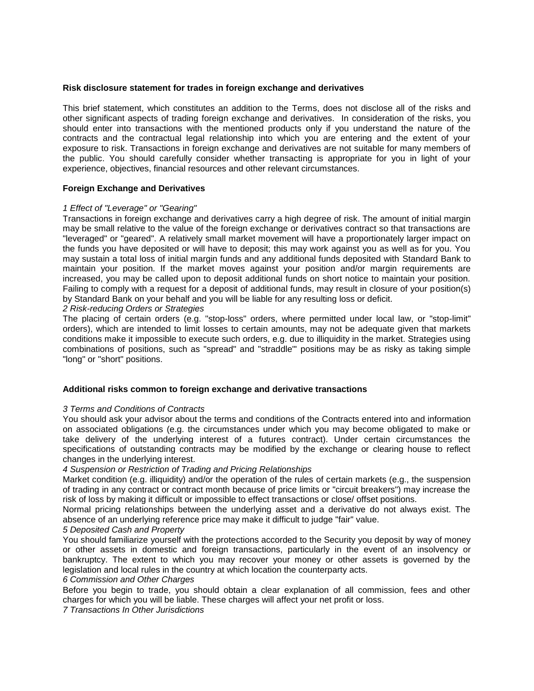#### **Risk disclosure statement for trades in foreign exchange and derivatives**

This brief statement, which constitutes an addition to the Terms, does not disclose all of the risks and other significant aspects of trading foreign exchange and derivatives. In consideration of the risks, you should enter into transactions with the mentioned products only if you understand the nature of the contracts and the contractual legal relationship into which you are entering and the extent of your exposure to risk. Transactions in foreign exchange and derivatives are not suitable for many members of the public. You should carefully consider whether transacting is appropriate for you in light of your experience, objectives, financial resources and other relevant circumstances.

#### **Foreign Exchange and Derivatives**

#### *1 Effect of "Leverage" or "Gearing"*

Transactions in foreign exchange and derivatives carry a high degree of risk. The amount of initial margin may be small relative to the value of the foreign exchange or derivatives contract so that transactions are "leveraged" or "geared". A relatively small market movement will have a proportionately larger impact on the funds you have deposited or will have to deposit; this may work against you as well as for you. You may sustain a total loss of initial margin funds and any additional funds deposited with Standard Bank to maintain your position. If the market moves against your position and/or margin requirements are increased, you may be called upon to deposit additional funds on short notice to maintain your position. Failing to comply with a request for a deposit of additional funds, may result in closure of your position(s) by Standard Bank on your behalf and you will be liable for any resulting loss or deficit.

*2 Risk-reducing Orders or Strategies* 

The placing of certain orders (e.g. "stop-loss" orders, where permitted under local law, or "stop-limit" orders), which are intended to limit losses to certain amounts, may not be adequate given that markets conditions make it impossible to execute such orders, e.g. due to illiquidity in the market. Strategies using combinations of positions, such as "spread" and "straddle"' positions may be as risky as taking simple "long" or "short" positions.

#### **Additional risks common to foreign exchange and derivative transactions**

#### *3 Terms and Conditions of Contracts*

You should ask your advisor about the terms and conditions of the Contracts entered into and information on associated obligations (e.g. the circumstances under which you may become obligated to make or take delivery of the underlying interest of a futures contract). Under certain circumstances the specifications of outstanding contracts may be modified by the exchange or clearing house to reflect changes in the underlying interest.

*4 Suspension or Restriction of Trading and Pricing Relationships* 

Market condition (e.g. illiquidity) and/or the operation of the rules of certain markets (e.g., the suspension of trading in any contract or contract month because of price limits or "circuit breakers") may increase the risk of loss by making it difficult or impossible to effect transactions or close/ offset positions.

Normal pricing relationships between the underlying asset and a derivative do not always exist. The absence of an underlying reference price may make it difficult to judge "fair" value.

#### *5 Deposited Cash and Property*

You should familiarize yourself with the protections accorded to the Security you deposit by way of money or other assets in domestic and foreign transactions, particularly in the event of an insolvency or bankruptcy. The extent to which you may recover your money or other assets is governed by the legislation and local rules in the country at which location the counterparty acts.

#### *6 Commission and Other Charges*

Before you begin to trade, you should obtain a clear explanation of all commission, fees and other charges for which you will be liable. These charges will affect your net profit or loss.

*7 Transactions In Other Jurisdictions*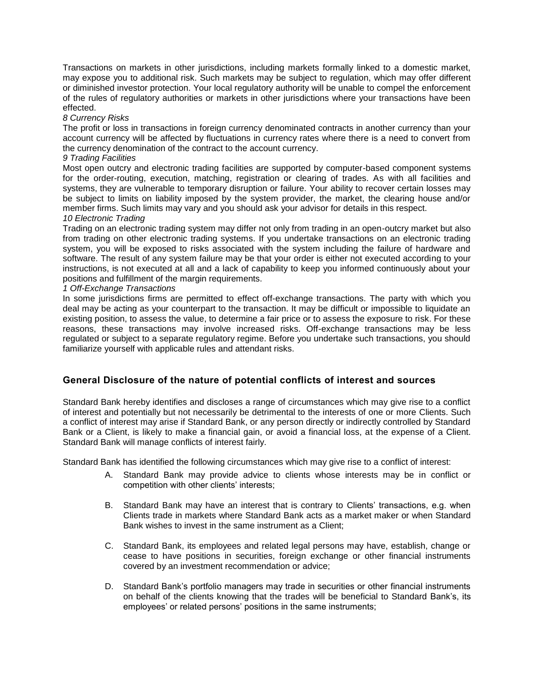Transactions on markets in other jurisdictions, including markets formally linked to a domestic market, may expose you to additional risk. Such markets may be subject to regulation, which may offer different or diminished investor protection. Your local regulatory authority will be unable to compel the enforcement of the rules of regulatory authorities or markets in other jurisdictions where your transactions have been effected.

#### *8 Currency Risks*

The profit or loss in transactions in foreign currency denominated contracts in another currency than your account currency will be affected by fluctuations in currency rates where there is a need to convert from the currency denomination of the contract to the account currency.

## *9 Trading Facilities*

Most open outcry and electronic trading facilities are supported by computer-based component systems for the order-routing, execution, matching, registration or clearing of trades. As with all facilities and systems, they are vulnerable to temporary disruption or failure. Your ability to recover certain losses may be subject to limits on liability imposed by the system provider, the market, the clearing house and/or member firms. Such limits may vary and you should ask your advisor for details in this respect. *10 Electronic Trading* 

#### Trading on an electronic trading system may differ not only from trading in an open-outcry market but also from trading on other electronic trading systems. If you undertake transactions on an electronic trading system, you will be exposed to risks associated with the system including the failure of hardware and software. The result of any system failure may be that your order is either not executed according to your instructions, is not executed at all and a lack of capability to keep you informed continuously about your positions and fulfillment of the margin requirements.

#### *1 Off-Exchange Transactions*

In some jurisdictions firms are permitted to effect off-exchange transactions. The party with which you deal may be acting as your counterpart to the transaction. It may be difficult or impossible to liquidate an existing position, to assess the value, to determine a fair price or to assess the exposure to risk. For these reasons, these transactions may involve increased risks. Off-exchange transactions may be less regulated or subject to a separate regulatory regime. Before you undertake such transactions, you should familiarize yourself with applicable rules and attendant risks.

# **General Disclosure of the nature of potential conflicts of interest and sources**

Standard Bank hereby identifies and discloses a range of circumstances which may give rise to a conflict of interest and potentially but not necessarily be detrimental to the interests of one or more Clients. Such a conflict of interest may arise if Standard Bank, or any person directly or indirectly controlled by Standard Bank or a Client, is likely to make a financial gain, or avoid a financial loss, at the expense of a Client. Standard Bank will manage conflicts of interest fairly.

Standard Bank has identified the following circumstances which may give rise to a conflict of interest:

- A. Standard Bank may provide advice to clients whose interests may be in conflict or competition with other clients' interests;
- B. Standard Bank may have an interest that is contrary to Clients' transactions, e.g. when Clients trade in markets where Standard Bank acts as a market maker or when Standard Bank wishes to invest in the same instrument as a Client;
- C. Standard Bank, its employees and related legal persons may have, establish, change or cease to have positions in securities, foreign exchange or other financial instruments covered by an investment recommendation or advice;
- D. Standard Bank's portfolio managers may trade in securities or other financial instruments on behalf of the clients knowing that the trades will be beneficial to Standard Bank's, its employees' or related persons' positions in the same instruments;